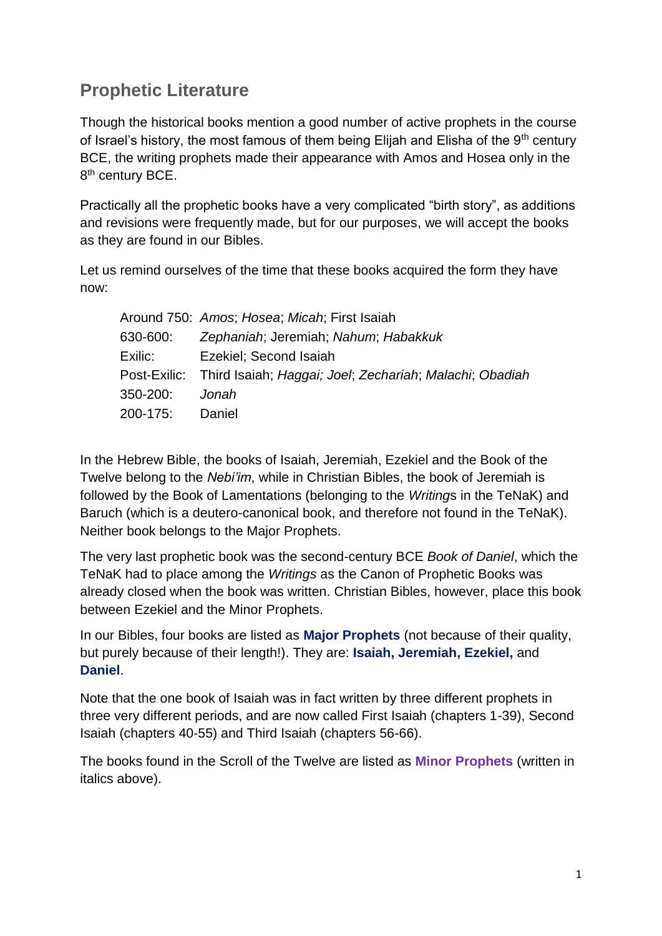# **Prophetic Literature**

Though the historical books mention a good number of active prophets in the course of Israel's history, the most famous of them being Elijah and Elisha of the 9<sup>th</sup> century BCE, the writing prophets made their appearance with Amos and Hosea only in the 8<sup>th</sup> century BCE.

Practically all the prophetic books have a very complicated "birth story", as additions and revisions were frequently made, but for our purposes, we will accept the books as they are found in our Bibles.

Let us remind ourselves of the time that these books acquired the form they have now:

|          | Around 750: Amos; Hosea; Micah; First Isaiah                         |
|----------|----------------------------------------------------------------------|
| 630-600: | Zephaniah; Jeremiah; Nahum; Habakkuk                                 |
| Exilic:  | Ezekiel; Second Isaiah                                               |
|          | Post-Exilic: Third Isaiah; Haggai; Joel; Zechariah; Malachi; Obadiah |
| 350-200: | Jonah                                                                |
| 200-175: | Daniel                                                               |

In the Hebrew Bible, the books of Isaiah, Jeremiah, Ezekiel and the Book of the Twelve belong to the *Nebi'im*, while in Christian Bibles, the book of Jeremiah is followed by the Book of Lamentations (belonging to the *Writing*s in the TeNaK) and Baruch (which is a deutero-canonical book, and therefore not found in the TeNaK). Neither book belongs to the Major Prophets.

The very last prophetic book was the second-century BCE *Book of Daniel*, which the TeNaK had to place among the *Writings* as the Canon of Prophetic Books was already closed when the book was written. Christian Bibles, however, place this book between Ezekiel and the Minor Prophets.

In our Bibles, four books are listed as **Major Prophets** (not because of their quality, but purely because of their length!). They are: **Isaiah, Jeremiah, Ezekiel,** and **Daniel**.

Note that the one book of Isaiah was in fact written by three different prophets in three very different periods, and are now called First Isaiah (chapters 1-39), Second Isaiah (chapters 40-55) and Third Isaiah (chapters 56-66).

The books found in the Scroll of the Twelve are listed as **Minor Prophets** (written in italics above).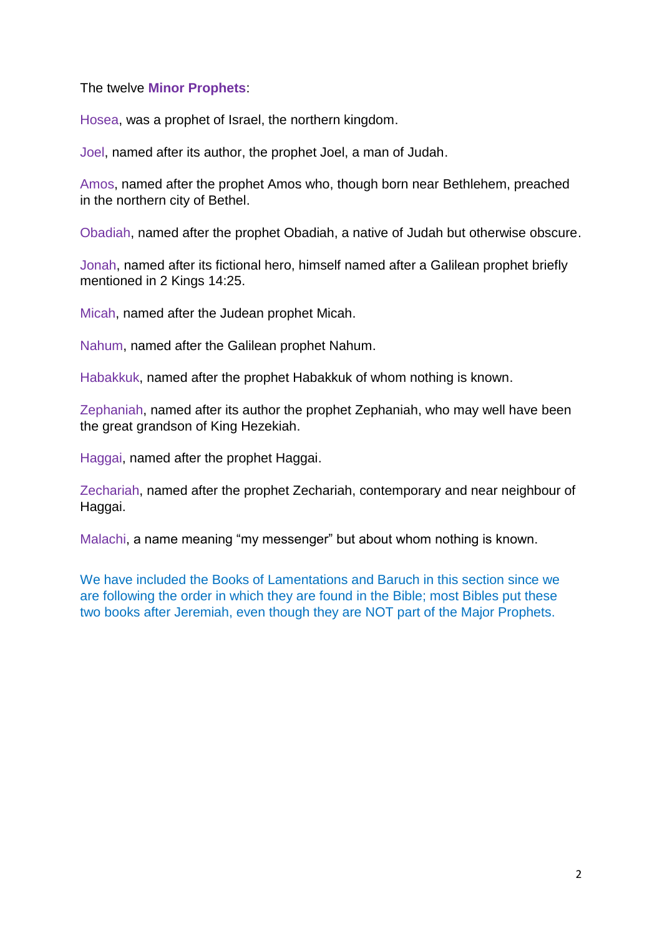The twelve **Minor Prophets**:

Hosea, was a prophet of Israel, the northern kingdom.

Joel, named after its author, the prophet Joel, a man of Judah.

Amos, named after the prophet Amos who, though born near Bethlehem, preached in the northern city of Bethel.

Obadiah, named after the prophet Obadiah, a native of Judah but otherwise obscure.

Jonah, named after its fictional hero, himself named after a Galilean prophet briefly mentioned in 2 Kings 14:25.

Micah, named after the Judean prophet Micah.

Nahum, named after the Galilean prophet Nahum.

Habakkuk, named after the prophet Habakkuk of whom nothing is known.

Zephaniah, named after its author the prophet Zephaniah, who may well have been the great grandson of King Hezekiah.

Haggai, named after the prophet Haggai.

Zechariah, named after the prophet Zechariah, contemporary and near neighbour of Haggai.

Malachi, a name meaning "my messenger" but about whom nothing is known.

We have included the Books of Lamentations and Baruch in this section since we are following the order in which they are found in the Bible; most Bibles put these two books after Jeremiah, even though they are NOT part of the Major Prophets.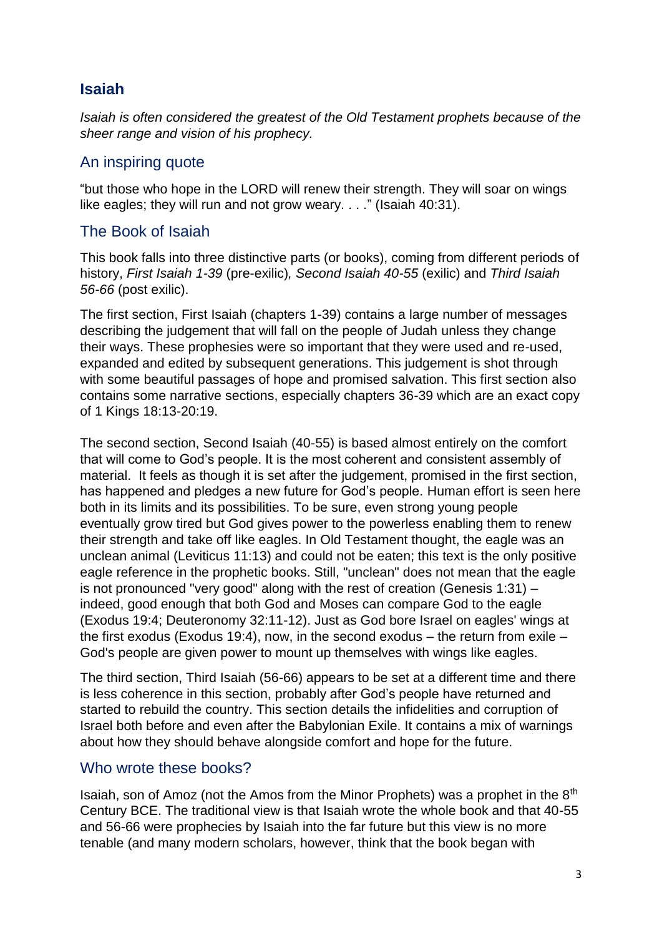# **Isaiah**

*Isaiah is often considered the greatest of the Old Testament prophets because of the sheer range and vision of his prophecy.*

### An inspiring quote

"but those who hope in the LORD will renew their strength. They will soar on wings like eagles; they will run and not grow weary. . . ." (Isaiah 40:31).

### The Book of Isaiah

This book falls into three distinctive parts (or books), coming from different periods of history, *First Isaiah 1-39* (pre-exilic)*, Second Isaiah 40-55* (exilic) and *Third Isaiah 56-66* (post exilic).

The first section, First Isaiah (chapters 1-39) contains a large number of messages describing the judgement that will fall on the people of Judah unless they change their ways. These prophesies were so important that they were used and re-used, expanded and edited by subsequent generations. This judgement is shot through with some beautiful passages of hope and promised salvation. This first section also contains some narrative sections, especially chapters 36-39 which are an exact copy of 1 Kings 18:13-20:19.

The second section, Second Isaiah (40-55) is based almost entirely on the comfort that will come to God's people. It is the most coherent and consistent assembly of material. It feels as though it is set after the judgement, promised in the first section, has happened and pledges a new future for God's people. Human effort is seen here both in its limits and its possibilities. To be sure, even strong young people eventually grow tired but God gives power to the powerless enabling them to renew their strength and take off like eagles. In Old Testament thought, the eagle was an unclean animal (Leviticus 11:13) and could not be eaten; this text is the only positive eagle reference in the prophetic books. Still, "unclean" does not mean that the eagle is not pronounced "very good" along with the rest of creation (Genesis 1:31) – indeed, good enough that both God and Moses can compare God to the eagle (Exodus 19:4; Deuteronomy 32:11-12). Just as God bore Israel on eagles' wings at the first exodus (Exodus 19:4), now, in the second exodus – the return from exile – God's people are given power to mount up themselves with wings like eagles.

The third section, Third Isaiah (56-66) appears to be set at a different time and there is less coherence in this section, probably after God's people have returned and started to rebuild the country. This section details the infidelities and corruption of Israel both before and even after the Babylonian Exile. It contains a mix of warnings about how they should behave alongside comfort and hope for the future.

### Who wrote these books?

Isaiah, son of Amoz (not the Amos from the Minor Prophets) was a prophet in the 8th Century BCE. The traditional view is that Isaiah wrote the whole book and that 40-55 and 56-66 were prophecies by Isaiah into the far future but this view is no more tenable (and many modern scholars, however, think that the book began with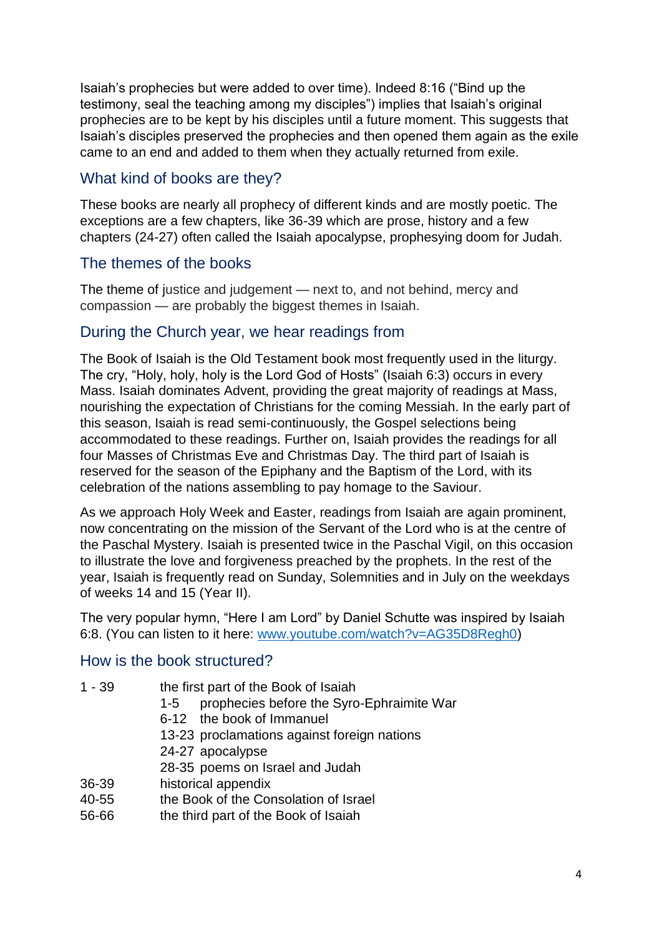Isaiah's prophecies but were added to over time). Indeed 8:16 ("Bind up the testimony, seal the teaching among my disciples") implies that Isaiah's original prophecies are to be kept by his disciples until a future moment. This suggests that Isaiah's disciples preserved the prophecies and then opened them again as the exile came to an end and added to them when they actually returned from exile.

### What kind of books are they?

These books are nearly all prophecy of different kinds and are mostly poetic. The exceptions are a few chapters, like 36-39 which are prose, history and a few chapters (24-27) often called the Isaiah apocalypse, prophesying doom for Judah.

### The themes of the books

The theme of justice and judgement — next to, and not behind, mercy and compassion — are probably the biggest themes in Isaiah.

#### During the Church year, we hear readings from

The Book of Isaiah is the Old Testament book most frequently used in the liturgy. The cry, "Holy, holy, holy is the Lord God of Hosts" (Isaiah 6:3) occurs in every Mass. Isaiah dominates Advent, providing the great majority of readings at Mass, nourishing the expectation of Christians for the coming Messiah. In the early part of this season, Isaiah is read semi-continuously, the Gospel selections being accommodated to these readings. Further on, Isaiah provides the readings for all four Masses of Christmas Eve and Christmas Day. The third part of Isaiah is reserved for the season of the Epiphany and the Baptism of the Lord, with its celebration of the nations assembling to pay homage to the Saviour.

As we approach Holy Week and Easter, readings from Isaiah are again prominent, now concentrating on the mission of the Servant of the Lord who is at the centre of the Paschal Mystery. Isaiah is presented twice in the Paschal Vigil, on this occasion to illustrate the love and forgiveness preached by the prophets. In the rest of the year, Isaiah is frequently read on Sunday, Solemnities and in July on the weekdays of weeks 14 and 15 (Year II).

The very popular hymn, "Here I am Lord" by Daniel Schutte was inspired by Isaiah 6:8. (You can listen to it here: [www.youtube.com/watch?v=AG35D8Regh0\)](http://www.youtube.com/watch?v=AG35D8Regh0)

#### How is the book structured?

- 1 39 the first part of the Book of Isaiah
	- 1-5 prophecies before the Syro-Ephraimite War
	- 6-12 the book of Immanuel
	- 13-23 proclamations against foreign nations
	- 24-27 apocalypse

28-35 poems on Israel and Judah

- 36-39 historical appendix
- 40-55 the Book of the Consolation of Israel
- 56-66 the third part of the Book of Isaiah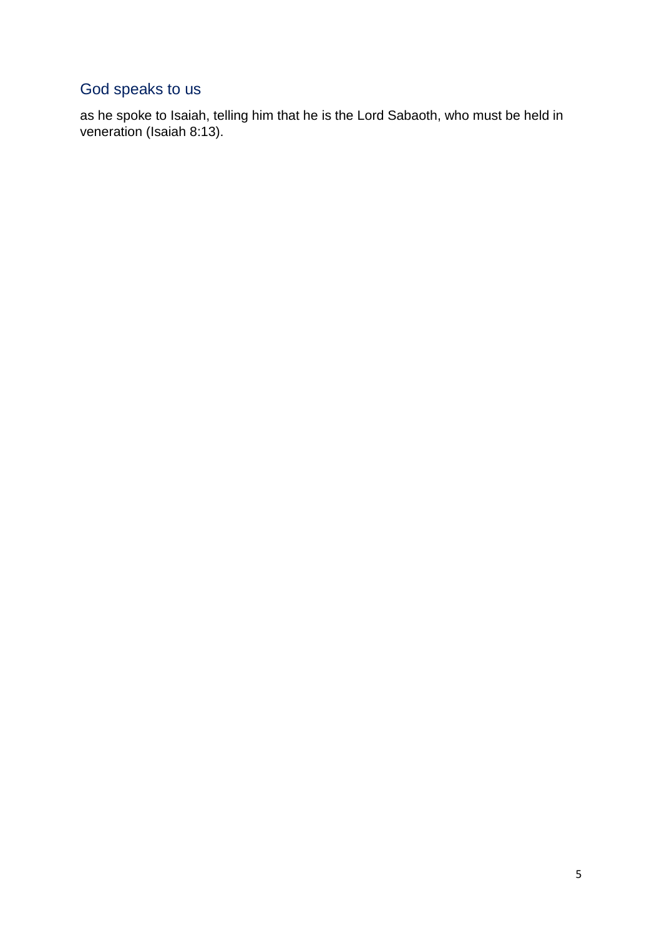# God speaks to us

as he spoke to Isaiah, telling him that he is the Lord Sabaoth, who must be held in veneration (Isaiah 8:13).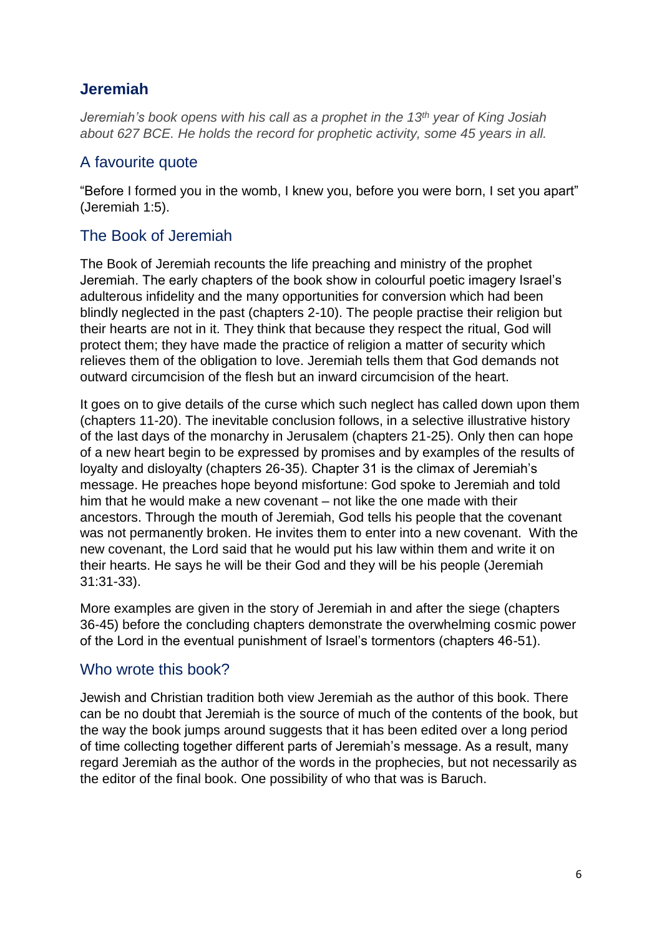# **Jeremiah**

*Jeremiah's book opens with his call as a prophet in the 13th year of King Josiah about 627 BCE. He holds the record for prophetic activity, some 45 years in all.*

### A favourite quote

"Before I formed you in the womb, I knew you, before you were born, I set you apart" (Jeremiah 1:5).

### The Book of Jeremiah

The Book of Jeremiah recounts the life preaching and ministry of the prophet Jeremiah. The early chapters of the book show in colourful poetic imagery Israel's adulterous infidelity and the many opportunities for conversion which had been blindly neglected in the past (chapters 2-10). The people practise their religion but their hearts are not in it. They think that because they respect the ritual, God will protect them; they have made the practice of religion a matter of security which relieves them of the obligation to love. Jeremiah tells them that God demands not outward circumcision of the flesh but an inward circumcision of the heart.

It goes on to give details of the curse which such neglect has called down upon them (chapters 11-20). The inevitable conclusion follows, in a selective illustrative history of the last days of the monarchy in Jerusalem (chapters 21-25). Only then can hope of a new heart begin to be expressed by promises and by examples of the results of loyalty and disloyalty (chapters 26-35). Chapter 31 is the climax of Jeremiah's message. He preaches hope beyond misfortune: God spoke to Jeremiah and told him that he would make a new covenant – not like the one made with their ancestors. Through the mouth of Jeremiah, God tells his people that the covenant was not permanently broken. He invites them to enter into a new covenant. With the new covenant, the Lord said that he would put his law within them and write it on their hearts. He says he will be their God and they will be his people (Jeremiah 31:31-33).

More examples are given in the story of Jeremiah in and after the siege (chapters 36-45) before the concluding chapters demonstrate the overwhelming cosmic power of the Lord in the eventual punishment of Israel's tormentors (chapters 46-51).

#### Who wrote this book?

Jewish and Christian tradition both view Jeremiah as the author of this book. There can be no doubt that Jeremiah is the source of much of the contents of the book, but the way the book jumps around suggests that it has been edited over a long period of time collecting together different parts of Jeremiah's message. As a result, many regard Jeremiah as the author of the words in the prophecies, but not necessarily as the editor of the final book. One possibility of who that was is Baruch.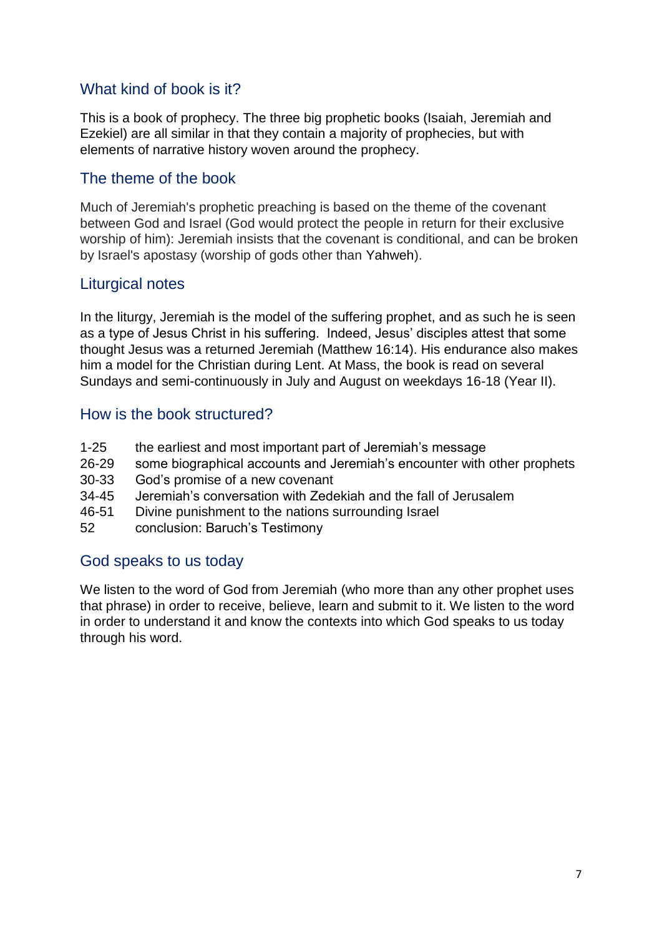# What kind of book is it?

This is a book of prophecy. The three big prophetic books (Isaiah, Jeremiah and Ezekiel) are all similar in that they contain a majority of prophecies, but with elements of narrative history woven around the prophecy.

### The theme of the book

Much of Jeremiah's prophetic preaching is based on the theme of the covenant between God and Israel (God would protect the people in return for their exclusive worship of him): Jeremiah insists that the covenant is conditional, and can be broken by Israel's apostasy (worship of gods other than Yahweh).

### Liturgical notes

In the liturgy, Jeremiah is the model of the suffering prophet, and as such he is seen as a type of Jesus Christ in his suffering. Indeed, Jesus' disciples attest that some thought Jesus was a returned Jeremiah (Matthew 16:14). His endurance also makes him a model for the Christian during Lent. At Mass, the book is read on several Sundays and semi-continuously in July and August on weekdays 16-18 (Year II).

### How is the book structured?

- 1-25 the earliest and most important part of Jeremiah's message
- 26-29 some biographical accounts and Jeremiah's encounter with other prophets
- 30-33 God's promise of a new covenant
- 34-45 Jeremiah's conversation with Zedekiah and the fall of Jerusalem
- 46-51 Divine punishment to the nations surrounding Israel
- 52 conclusion: Baruch's Testimony

#### God speaks to us today

We listen to the word of God from Jeremiah (who more than any other prophet uses that phrase) in order to receive, believe, learn and submit to it. We listen to the word in order to understand it and know the contexts into which God speaks to us today through his word.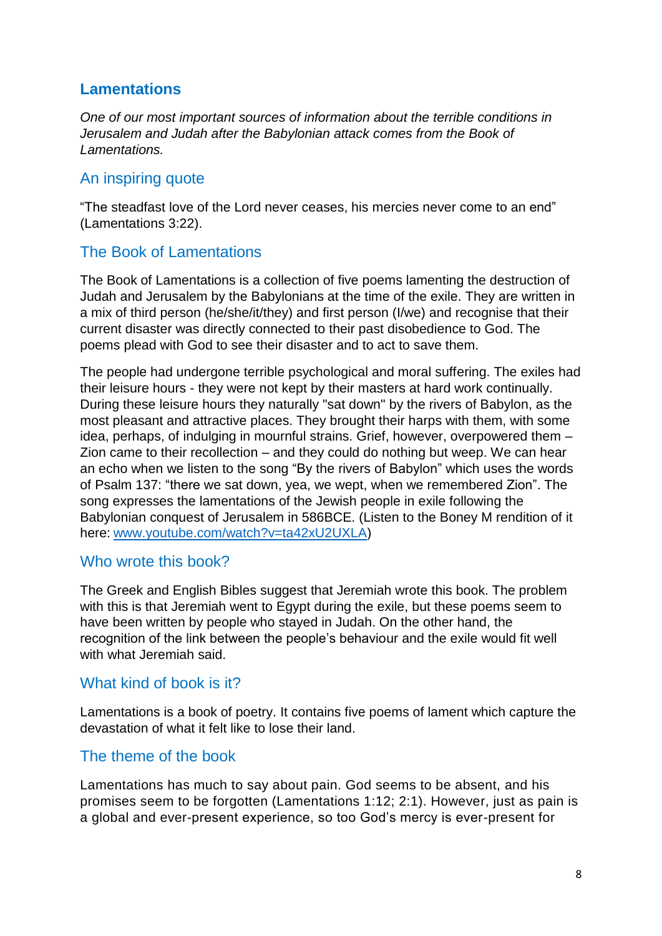# **Lamentations**

*One of our most important sources of information about the terrible conditions in Jerusalem and Judah after the Babylonian attack comes from the Book of Lamentations.*

### An inspiring quote

"The steadfast love of the Lord never ceases, his mercies never come to an end" (Lamentations 3:22).

### The Book of Lamentations

The Book of Lamentations is a collection of five poems lamenting the destruction of Judah and Jerusalem by the Babylonians at the time of the exile. They are written in a mix of third person (he/she/it/they) and first person (I/we) and recognise that their current disaster was directly connected to their past disobedience to God. The poems plead with God to see their disaster and to act to save them.

The people had undergone terrible psychological and moral suffering. The exiles had their leisure hours - they were not kept by their masters at hard work continually. During these leisure hours they naturally "sat down" by the rivers of Babylon, as the most pleasant and attractive places. They brought their harps with them, with some idea, perhaps, of indulging in mournful strains. Grief, however, overpowered them – Zion came to their recollection – and they could do nothing but weep. We can hear an echo when we listen to the song "By the rivers of Babylon" which uses the words of Psalm 137: "there we sat down, yea, we wept, when we remembered Zion". The song expresses the lamentations of the Jewish people in exile following the Babylonian conquest of Jerusalem in 586BCE. (Listen to the Boney M rendition of it here: [www.youtube.com/watch?v=ta42xU2UXLA\)](http://www.youtube.com/watch?v=ta42xU2UXLA)

#### Who wrote this book?

The Greek and English Bibles suggest that Jeremiah wrote this book. The problem with this is that Jeremiah went to Egypt during the exile, but these poems seem to have been written by people who stayed in Judah. On the other hand, the recognition of the link between the people's behaviour and the exile would fit well with what Jeremiah said.

#### What kind of book is it?

Lamentations is a book of poetry. It contains five poems of lament which capture the devastation of what it felt like to lose their land.

#### The theme of the book

Lamentations has much to say about pain. God seems to be absent, and his promises seem to be forgotten (Lamentations 1:12; 2:1). However, just as pain is a global and ever-present experience, so too God's mercy is ever-present for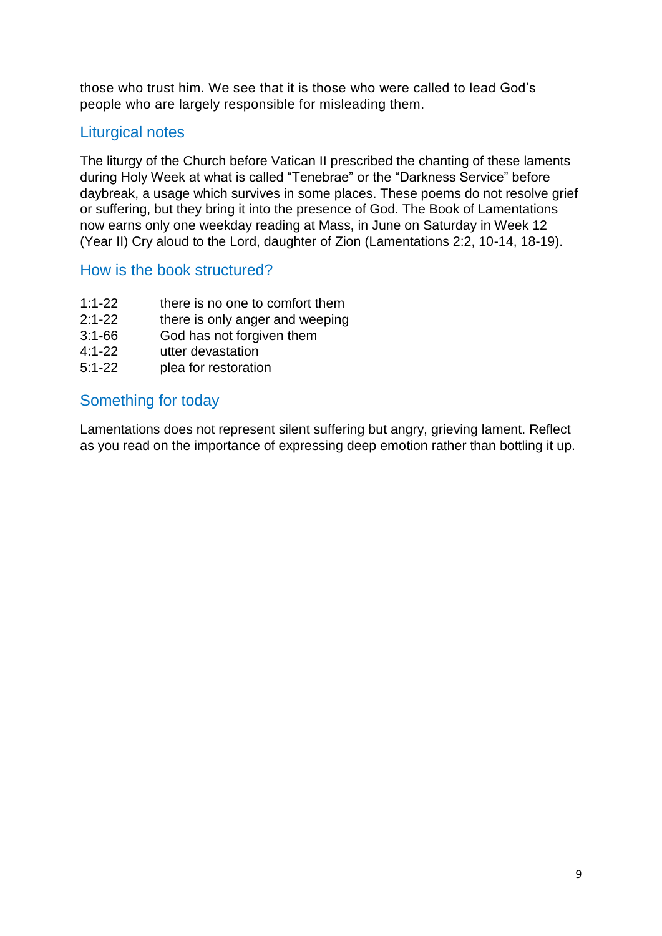those who trust him. We see that it is those who were called to lead God's people who are largely responsible for misleading them.

# Liturgical notes

The liturgy of the Church before Vatican II prescribed the chanting of these laments during Holy Week at what is called "Tenebrae" or the "Darkness Service" before daybreak, a usage which survives in some places. These poems do not resolve grief or suffering, but they bring it into the presence of God. The Book of Lamentations now earns only one weekday reading at Mass, in June on Saturday in Week 12 (Year II) Cry aloud to the Lord, daughter of Zion (Lamentations 2:2, 10-14, 18-19).

### How is the book structured?

- 1:1-22 there is no one to comfort them
- 2:1-22 there is only anger and weeping
- 3:1-66 God has not forgiven them
- 4:1-22 utter devastation
- 5:1-22 plea for restoration

### Something for today

Lamentations does not represent silent suffering but angry, grieving lament. Reflect as you read on the importance of expressing deep emotion rather than bottling it up.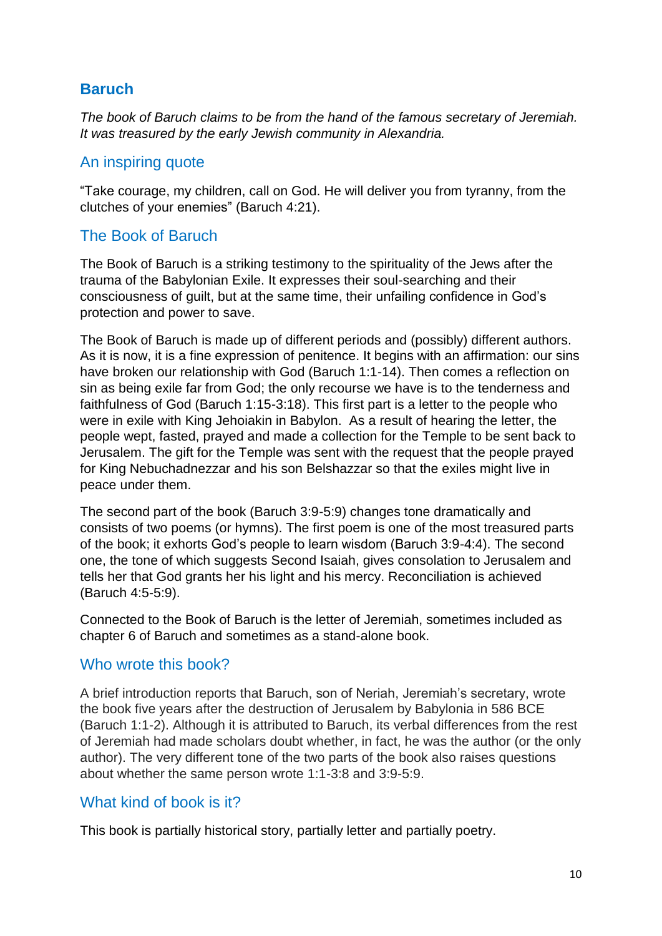# **Baruch**

*The book of Baruch claims to be from the hand of the famous secretary of Jeremiah. It was treasured by the early Jewish community in Alexandria.*

#### An inspiring quote

"Take courage, my children, call on God. He will deliver you from tyranny, from the clutches of your enemies" (Baruch 4:21).

### The Book of Baruch

The Book of Baruch is a striking testimony to the spirituality of the Jews after the trauma of the Babylonian Exile. It expresses their soul-searching and their consciousness of guilt, but at the same time, their unfailing confidence in God's protection and power to save.

The Book of Baruch is made up of different periods and (possibly) different authors. As it is now, it is a fine expression of penitence. It begins with an affirmation: our sins have broken our relationship with God (Baruch 1:1-14). Then comes a reflection on sin as being exile far from God; the only recourse we have is to the tenderness and faithfulness of God (Baruch 1:15-3:18). This first part is a letter to the people who were in exile with King Jehoiakin in Babylon. As a result of hearing the letter, the people wept, fasted, prayed and made a collection for the Temple to be sent back to Jerusalem. The gift for the Temple was sent with the request that the people prayed for King Nebuchadnezzar and his son Belshazzar so that the exiles might live in peace under them.

The second part of the book (Baruch 3:9-5:9) changes tone dramatically and consists of two poems (or hymns). The first poem is one of the most treasured parts of the book; it exhorts God's people to learn wisdom (Baruch 3:9-4:4). The second one, the tone of which suggests Second Isaiah, gives consolation to Jerusalem and tells her that God grants her his light and his mercy. Reconciliation is achieved (Baruch 4:5-5:9).

Connected to the Book of Baruch is the letter of Jeremiah, sometimes included as chapter 6 of Baruch and sometimes as a stand-alone book.

#### Who wrote this book?

A brief introduction reports that Baruch, son of Neriah, Jeremiah's secretary, wrote the book five years after the destruction of Jerusalem by Babylonia in 586 BCE (Baruch 1:1-2). Although it is attributed to Baruch, its verbal differences from the rest of Jeremiah had made scholars doubt whether, in fact, he was the author (or the only author). The very different tone of the two parts of the book also raises questions about whether the same person wrote 1:1-3:8 and 3:9-5:9.

### What kind of book is it?

This book is partially historical story, partially letter and partially poetry.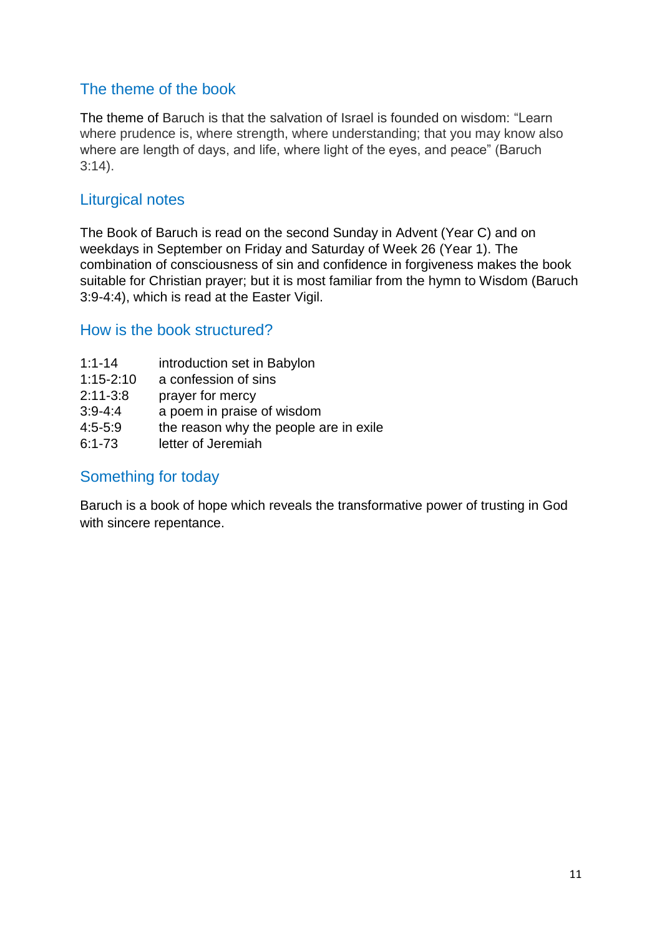# The theme of the book

The theme of Baruch is that the salvation of Israel is founded on wisdom: "Learn where prudence is, where strength, where understanding; that you may know also where are length of days, and life, where light of the eyes, and peace" (Baruch 3:14).

# Liturgical notes

The Book of Baruch is read on the second Sunday in Advent (Year C) and on weekdays in September on Friday and Saturday of Week 26 (Year 1). The combination of consciousness of sin and confidence in forgiveness makes the book suitable for Christian prayer; but it is most familiar from the hymn to Wisdom (Baruch 3:9-4:4), which is read at the Easter Vigil.

### How is the book structured?

- 1:1-14 introduction set in Babylon
- 1:15-2:10 a confession of sins
- 2:11-3:8 prayer for mercy
- 3:9-4:4 a poem in praise of wisdom
- 4:5-5:9 the reason why the people are in exile
- 6:1-73 letter of Jeremiah

### Something for today

Baruch is a book of hope which reveals the transformative power of trusting in God with sincere repentance.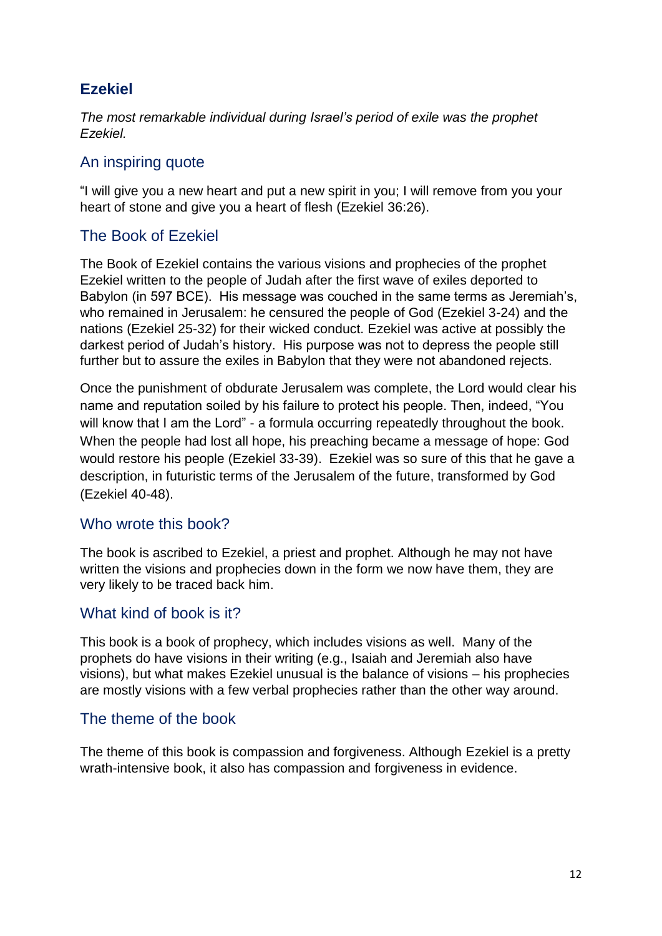# **Ezekiel**

*The most remarkable individual during Israel's period of exile was the prophet Ezekiel.*

### An inspiring quote

"I will give you a new heart and put a new spirit in you; I will remove from you your heart of stone and give you a heart of flesh (Ezekiel 36:26).

### The Book of Ezekiel

The Book of Ezekiel contains the various visions and prophecies of the prophet Ezekiel written to the people of Judah after the first wave of exiles deported to Babylon (in 597 BCE). His message was couched in the same terms as Jeremiah's, who remained in Jerusalem: he censured the people of God (Ezekiel 3-24) and the nations (Ezekiel 25-32) for their wicked conduct. Ezekiel was active at possibly the darkest period of Judah's history. His purpose was not to depress the people still further but to assure the exiles in Babylon that they were not abandoned rejects.

Once the punishment of obdurate Jerusalem was complete, the Lord would clear his name and reputation soiled by his failure to protect his people. Then, indeed, "You will know that I am the Lord" - a formula occurring repeatedly throughout the book. When the people had lost all hope, his preaching became a message of hope: God would restore his people (Ezekiel 33-39). Ezekiel was so sure of this that he gave a description, in futuristic terms of the Jerusalem of the future, transformed by God (Ezekiel 40-48).

#### Who wrote this book?

The book is ascribed to Ezekiel, a priest and prophet. Although he may not have written the visions and prophecies down in the form we now have them, they are very likely to be traced back him.

#### What kind of book is it?

This book is a book of prophecy, which includes visions as well. Many of the prophets do have visions in their writing (e.g., Isaiah and Jeremiah also have visions), but what makes Ezekiel unusual is the balance of visions – his prophecies are mostly visions with a few verbal prophecies rather than the other way around.

#### The theme of the book

The theme of this book is compassion and forgiveness. Although Ezekiel is a pretty wrath-intensive book, it also has compassion and forgiveness in evidence.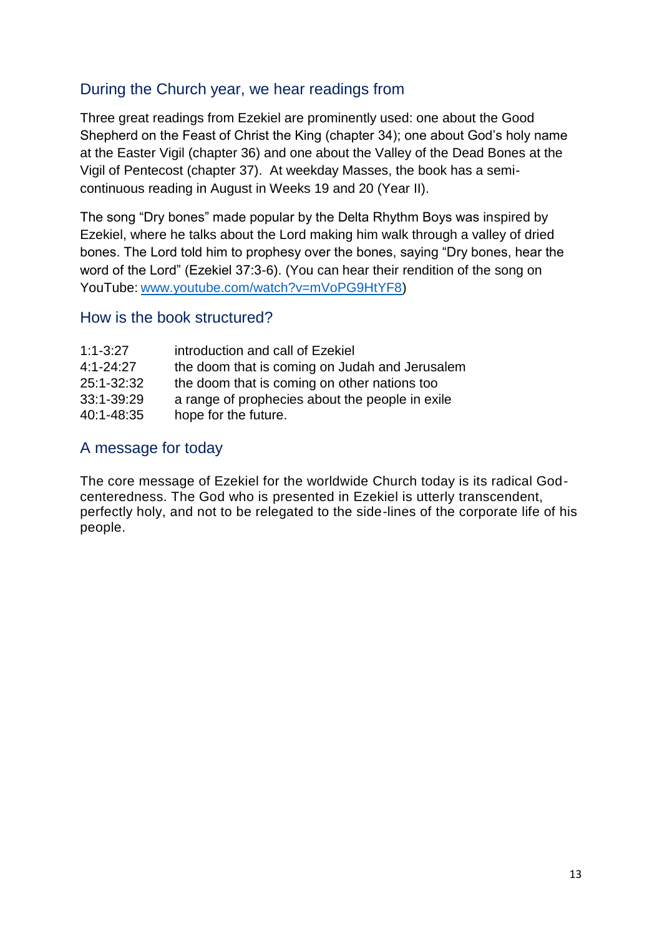# During the Church year, we hear readings from

Three great readings from Ezekiel are prominently used: one about the Good Shepherd on the Feast of Christ the King (chapter 34); one about God's holy name at the Easter Vigil (chapter 36) and one about the Valley of the Dead Bones at the Vigil of Pentecost (chapter 37). At weekday Masses, the book has a semicontinuous reading in August in Weeks 19 and 20 (Year II).

The song "Dry bones" made popular by the Delta Rhythm Boys was inspired by Ezekiel, where he talks about the Lord making him walk through a valley of dried bones. The Lord told him to prophesy over the bones, saying "Dry bones, hear the word of the Lord" (Ezekiel 37:3-6). (You can hear their rendition of the song on YouTube: [www.youtube.com/watch?v=mVoPG9HtYF8\)](http://www.youtube.com/watch?v=mVoPG9HtYF8)

#### How is the book structured?

| $1:1 - 3:27$  | introduction and call of Ezekiel                |
|---------------|-------------------------------------------------|
| $4:1 - 24:27$ | the doom that is coming on Judah and Jerusalem  |
| 25:1-32:32    | the doom that is coming on other nations too    |
| 33:1-39:29    | a range of prophecies about the people in exile |
| 40:1-48:35    | hope for the future.                            |

### A message for today

The core message of Ezekiel for the worldwide Church today is its radical Godcenteredness. The God who is presented in Ezekiel is utterly transcendent, perfectly holy, and not to be relegated to the side-lines of the corporate life of his people.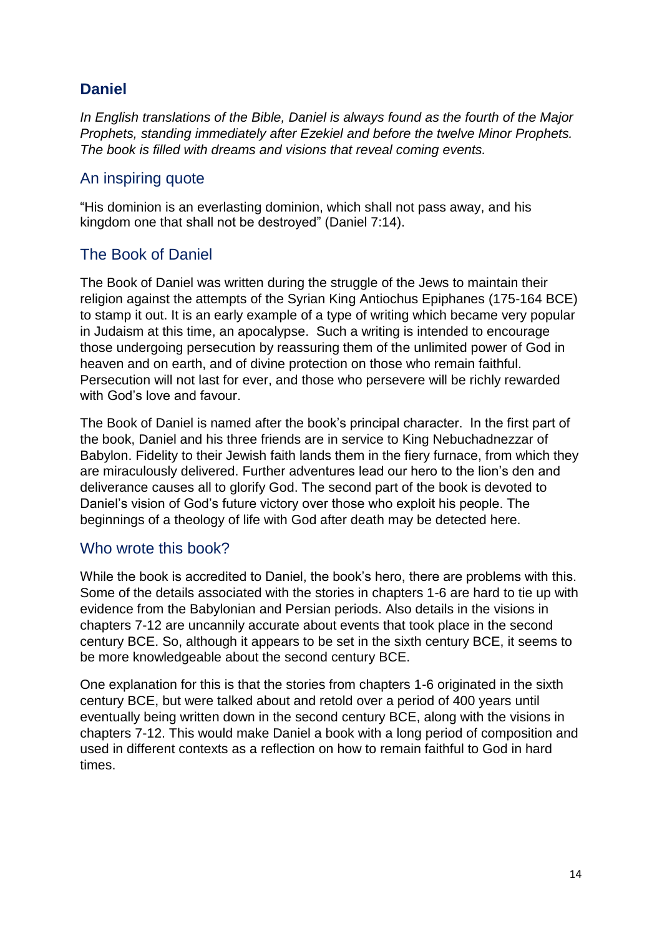# **Daniel**

*In English translations of the Bible, Daniel is always found as the fourth of the Major Prophets, standing immediately after Ezekiel and before the twelve Minor Prophets. The book is filled with dreams and visions that reveal coming events.*

### An inspiring quote

"His dominion is an everlasting dominion, which shall not pass away, and his kingdom one that shall not be destroyed" (Daniel 7:14).

### The Book of Daniel

The Book of Daniel was written during the struggle of the Jews to maintain their religion against the attempts of the Syrian King Antiochus Epiphanes (175-164 BCE) to stamp it out. It is an early example of a type of writing which became very popular in Judaism at this time, an apocalypse. Such a writing is intended to encourage those undergoing persecution by reassuring them of the unlimited power of God in heaven and on earth, and of divine protection on those who remain faithful. Persecution will not last for ever, and those who persevere will be richly rewarded with God's love and favour.

The Book of Daniel is named after the book's principal character. In the first part of the book, Daniel and his three friends are in service to King Nebuchadnezzar of Babylon. Fidelity to their Jewish faith lands them in the fiery furnace, from which they are miraculously delivered. Further adventures lead our hero to the lion's den and deliverance causes all to glorify God. The second part of the book is devoted to Daniel's vision of God's future victory over those who exploit his people. The beginnings of a theology of life with God after death may be detected here.

#### Who wrote this book?

While the book is accredited to Daniel, the book's hero, there are problems with this. Some of the details associated with the stories in chapters 1-6 are hard to tie up with evidence from the Babylonian and Persian periods. Also details in the visions in chapters 7-12 are uncannily accurate about events that took place in the second century BCE. So, although it appears to be set in the sixth century BCE, it seems to be more knowledgeable about the second century BCE.

One explanation for this is that the stories from chapters 1-6 originated in the sixth century BCE, but were talked about and retold over a period of 400 years until eventually being written down in the second century BCE, along with the visions in chapters 7-12. This would make Daniel a book with a long period of composition and used in different contexts as a reflection on how to remain faithful to God in hard times.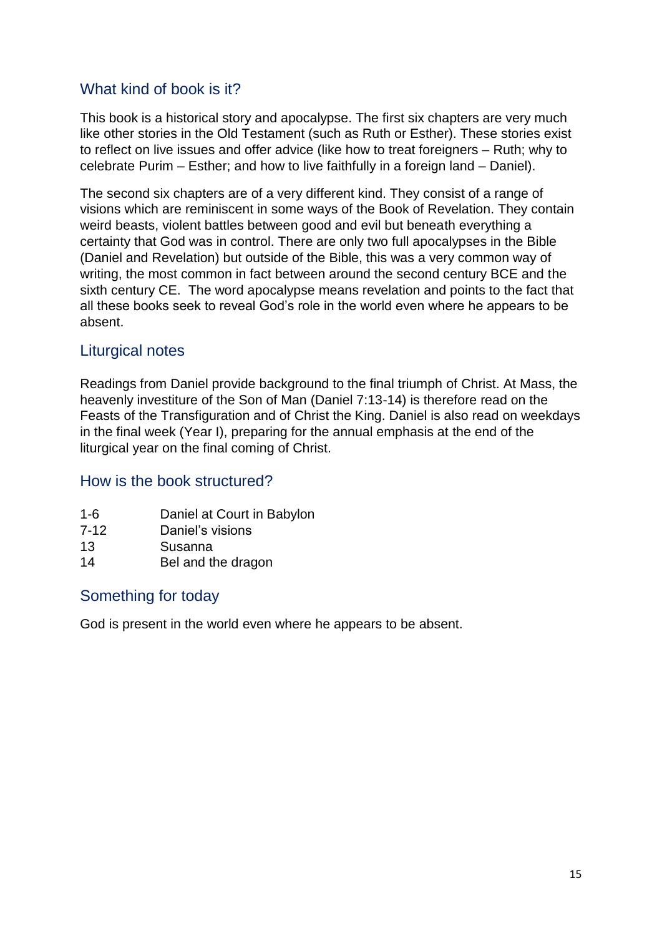# What kind of book is it?

This book is a historical story and apocalypse. The first six chapters are very much like other stories in the Old Testament (such as Ruth or Esther). These stories exist to reflect on live issues and offer advice (like how to treat foreigners – Ruth; why to celebrate Purim – Esther; and how to live faithfully in a foreign land – Daniel).

The second six chapters are of a very different kind. They consist of a range of visions which are reminiscent in some ways of the Book of Revelation. They contain weird beasts, violent battles between good and evil but beneath everything a certainty that God was in control. There are only two full apocalypses in the Bible (Daniel and Revelation) but outside of the Bible, this was a very common way of writing, the most common in fact between around the second century BCE and the sixth century CE. The word apocalypse means revelation and points to the fact that all these books seek to reveal God's role in the world even where he appears to be absent.

### Liturgical notes

Readings from Daniel provide background to the final triumph of Christ. At Mass, the heavenly investiture of the Son of Man (Daniel 7:13-14) is therefore read on the Feasts of the Transfiguration and of Christ the King. Daniel is also read on weekdays in the final week (Year I), preparing for the annual emphasis at the end of the liturgical year on the final coming of Christ.

#### How is the book structured?

- 1-6 Daniel at Court in Babylon
- 7-12 Daniel's visions
- 13 Susanna
- 14 Bel and the dragon

#### Something for today

God is present in the world even where he appears to be absent.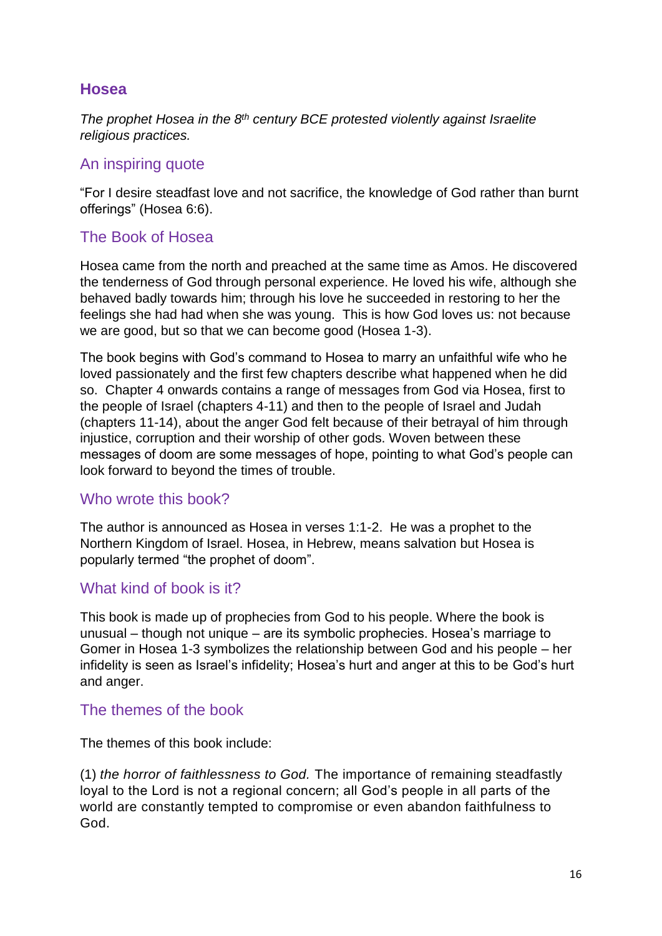### **Hosea**

*The prophet Hosea in the 8 th century BCE protested violently against Israelite religious practices.*

#### An inspiring quote

"For I desire steadfast love and not sacrifice, the knowledge of God rather than burnt offerings" (Hosea 6:6).

### The Book of Hosea

Hosea came from the north and preached at the same time as Amos. He discovered the tenderness of God through personal experience. He loved his wife, although she behaved badly towards him; through his love he succeeded in restoring to her the feelings she had had when she was young. This is how God loves us: not because we are good, but so that we can become good (Hosea 1-3).

The book begins with God's command to Hosea to marry an unfaithful wife who he loved passionately and the first few chapters describe what happened when he did so. Chapter 4 onwards contains a range of messages from God via Hosea, first to the people of Israel (chapters 4-11) and then to the people of Israel and Judah (chapters 11-14), about the anger God felt because of their betrayal of him through injustice, corruption and their worship of other gods. Woven between these messages of doom are some messages of hope, pointing to what God's people can look forward to beyond the times of trouble.

#### Who wrote this book?

The author is announced as Hosea in verses 1:1-2. He was a prophet to the Northern Kingdom of Israel. Hosea, in Hebrew, means salvation but Hosea is popularly termed "the prophet of doom".

#### What kind of book is it?

This book is made up of prophecies from God to his people. Where the book is unusual – though not unique – are its symbolic prophecies. Hosea's marriage to Gomer in Hosea 1-3 symbolizes the relationship between God and his people – her infidelity is seen as Israel's infidelity; Hosea's hurt and anger at this to be God's hurt and anger.

### The themes of the book

The themes of this book include:

(1) *the horror of faithlessness to God.* The importance of remaining steadfastly loyal to the Lord is not a regional concern; all God's people in all parts of the world are constantly tempted to compromise or even abandon faithfulness to God.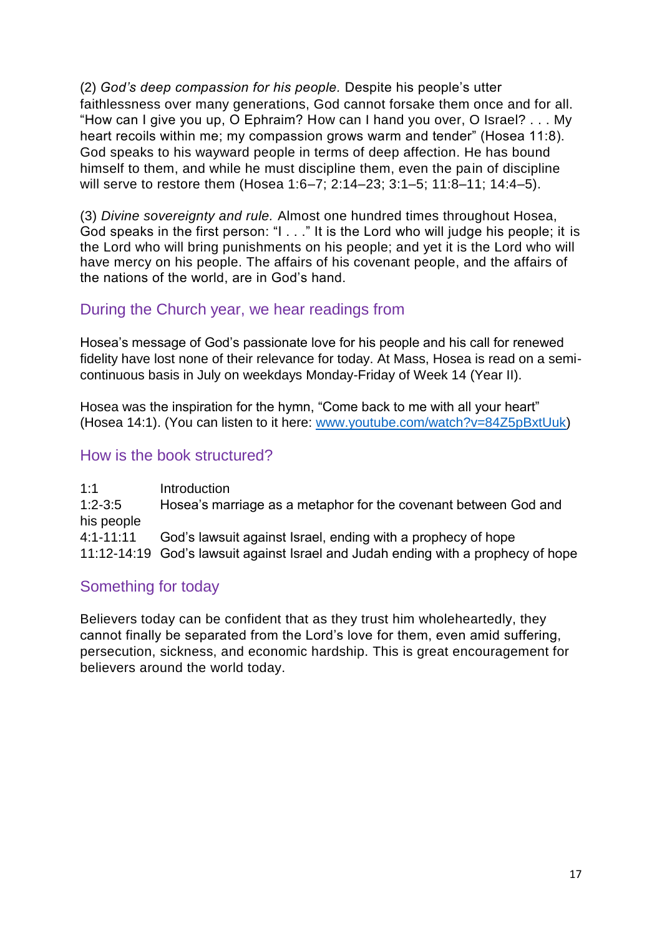(2) *God's deep compassion for his people.* Despite his people's utter faithlessness over many generations, God cannot forsake them once and for all. "How can I give you up, O Ephraim? How can I hand you over, O Israel? . . . My heart recoils within me; my compassion grows warm and tender" (Hosea 11:8). God speaks to his wayward people in terms of deep affection. He has bound himself to them, and while he must discipline them, even the pain of discipline will serve to restore them (Hosea 1:6–7; 2:14–23; 3:1–5; 11:8–11; 14:4–5).

(3) *Divine sovereignty and rule.* Almost one hundred times throughout Hosea, God speaks in the first person: "I . . ." It is the Lord who will judge his people; it is the Lord who will bring punishments on his people; and yet it is the Lord who will have mercy on his people. The affairs of his covenant people, and the affairs of the nations of the world, are in God's hand.

### During the Church year, we hear readings from

Hosea's message of God's passionate love for his people and his call for renewed fidelity have lost none of their relevance for today. At Mass, Hosea is read on a semicontinuous basis in July on weekdays Monday-Friday of Week 14 (Year II).

Hosea was the inspiration for the hymn, "Come back to me with all your heart" (Hosea 14:1). (You can listen to it here: [www.youtube.com/watch?v=84Z5pBxtUuk\)](http://www.youtube.com/watch?v=84Z5pBxtUuk)

### How is the book structured?

1:1 Introduction 1:2-3:5 Hosea's marriage as a metaphor for the covenant between God and his people 4:1-11:11 God's lawsuit against Israel, ending with a prophecy of hope 11:12-14:19 God's lawsuit against Israel and Judah ending with a prophecy of hope

#### Something for today

Believers today can be confident that as they trust him wholeheartedly, they cannot finally be separated from the Lord's love for them, even amid suffering, persecution, sickness, and economic hardship. This is great encouragement for believers around the world today.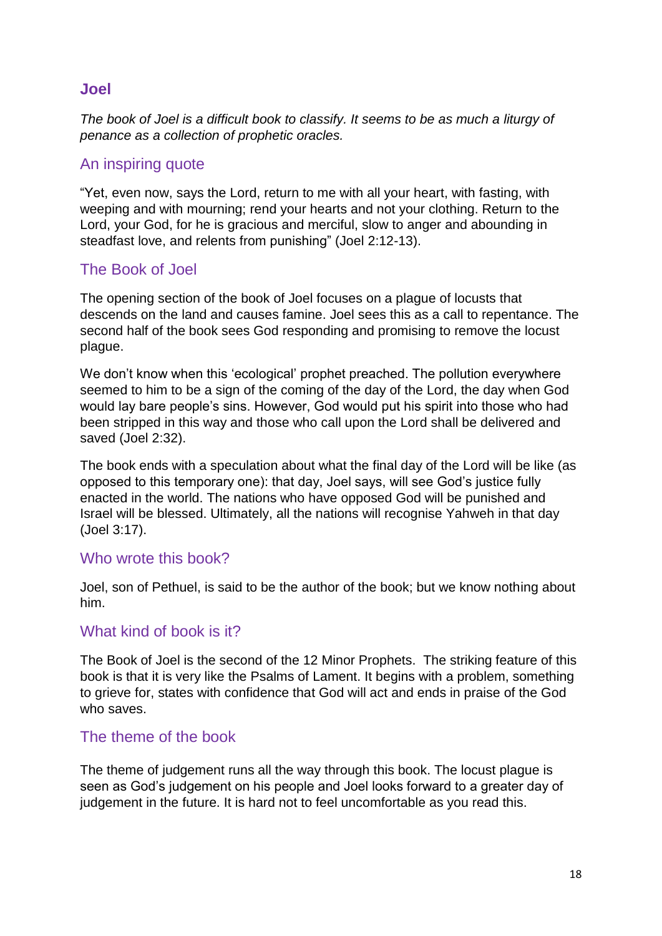#### **Joel**

*The book of Joel is a difficult book to classify. It seems to be as much a liturgy of penance as a collection of prophetic oracles.*

#### An inspiring quote

"Yet, even now, says the Lord, return to me with all your heart, with fasting, with weeping and with mourning; rend your hearts and not your clothing. Return to the Lord, your God, for he is gracious and merciful, slow to anger and abounding in steadfast love, and relents from punishing" (Joel 2:12-13).

### The Book of Joel

The opening section of the book of Joel focuses on a plague of locusts that descends on the land and causes famine. Joel sees this as a call to repentance. The second half of the book sees God responding and promising to remove the locust plague.

We don't know when this 'ecological' prophet preached. The pollution everywhere seemed to him to be a sign of the coming of the day of the Lord, the day when God would lay bare people's sins. However, God would put his spirit into those who had been stripped in this way and those who call upon the Lord shall be delivered and saved (Joel 2:32).

The book ends with a speculation about what the final day of the Lord will be like (as opposed to this temporary one): that day, Joel says, will see God's justice fully enacted in the world. The nations who have opposed God will be punished and Israel will be blessed. Ultimately, all the nations will recognise Yahweh in that day (Joel 3:17).

#### Who wrote this book?

Joel, son of Pethuel, is said to be the author of the book; but we know nothing about him.

#### What kind of book is it?

The Book of Joel is the second of the 12 Minor Prophets. The striking feature of this book is that it is very like the Psalms of Lament. It begins with a problem, something to grieve for, states with confidence that God will act and ends in praise of the God who saves.

#### The theme of the book

The theme of judgement runs all the way through this book. The locust plague is seen as God's judgement on his people and Joel looks forward to a greater day of judgement in the future. It is hard not to feel uncomfortable as you read this.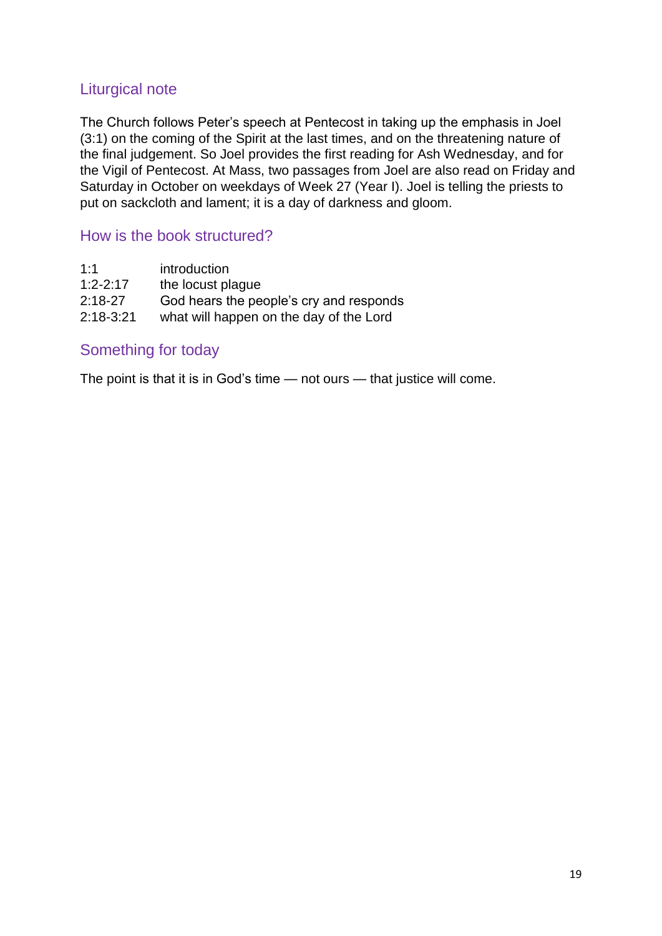### Liturgical note

The Church follows Peter's speech at Pentecost in taking up the emphasis in Joel (3:1) on the coming of the Spirit at the last times, and on the threatening nature of the final judgement. So Joel provides the first reading for Ash Wednesday, and for the Vigil of Pentecost. At Mass, two passages from Joel are also read on Friday and Saturday in October on weekdays of Week 27 (Year I). Joel is telling the priests to put on sackcloth and lament; it is a day of darkness and gloom.

#### How is the book structured?

| introduction                            |
|-----------------------------------------|
| the locust plague                       |
| God hears the people's cry and responds |
| what will happen on the day of the Lord |
|                                         |

#### Something for today

The point is that it is in God's time — not ours — that justice will come.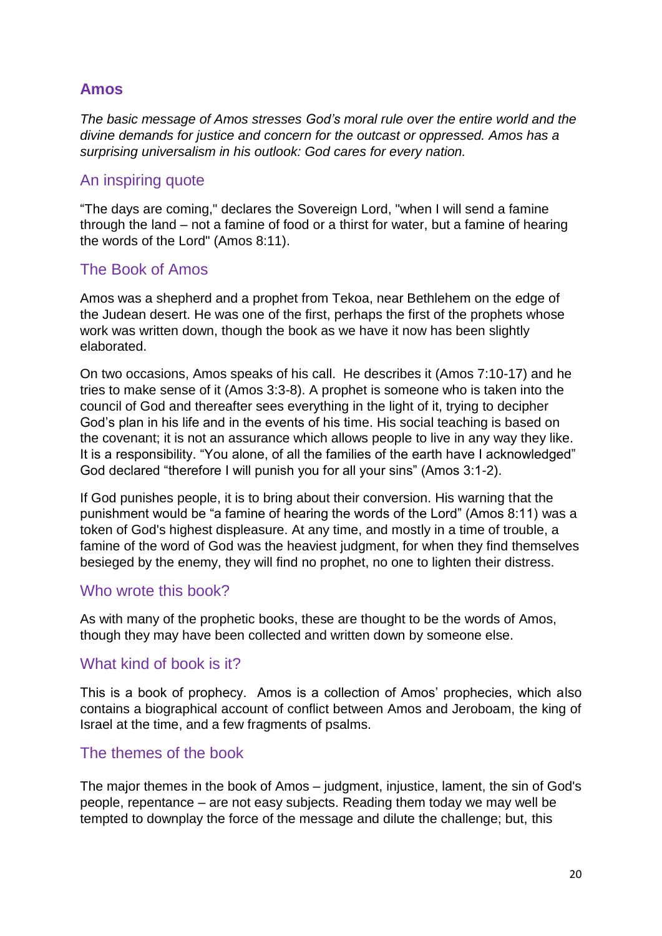# **Amos**

*The basic message of Amos stresses God's moral rule over the entire world and the divine demands for justice and concern for the outcast or oppressed. Amos has a surprising universalism in his outlook: God cares for every nation.*

#### An inspiring quote

"The days are coming," declares the Sovereign Lord, "when I will send a famine through the land – not a famine of food or a thirst for water, but a famine of hearing the words of the Lord" (Amos 8:11).

### The Book of Amos

Amos was a shepherd and a prophet from Tekoa, near Bethlehem on the edge of the Judean desert. He was one of the first, perhaps the first of the prophets whose work was written down, though the book as we have it now has been slightly elaborated.

On two occasions, Amos speaks of his call. He describes it (Amos 7:10-17) and he tries to make sense of it (Amos 3:3-8). A prophet is someone who is taken into the council of God and thereafter sees everything in the light of it, trying to decipher God's plan in his life and in the events of his time. His social teaching is based on the covenant; it is not an assurance which allows people to live in any way they like. It is a responsibility. "You alone, of all the families of the earth have I acknowledged" God declared "therefore I will punish you for all your sins" (Amos 3:1-2).

If God punishes people, it is to bring about their conversion. His warning that the punishment would be "a famine of hearing the words of the Lord" (Amos 8:11) was a token of God's highest displeasure. At any time, and mostly in a time of trouble, a famine of the word of God was the heaviest judgment, for when they find themselves besieged by the enemy, they will find no prophet, no one to lighten their distress.

#### Who wrote this book?

As with many of the prophetic books, these are thought to be the words of Amos, though they may have been collected and written down by someone else.

#### What kind of book is it?

This is a book of prophecy. Amos is a collection of Amos' prophecies, which also contains a biographical account of conflict between Amos and Jeroboam, the king of Israel at the time, and a few fragments of psalms.

#### The themes of the book

The major themes in the book of Amos – judgment, injustice, lament, the sin of God's people, repentance – are not easy subjects. Reading them today we may well be tempted to downplay the force of the message and dilute the challenge; but, this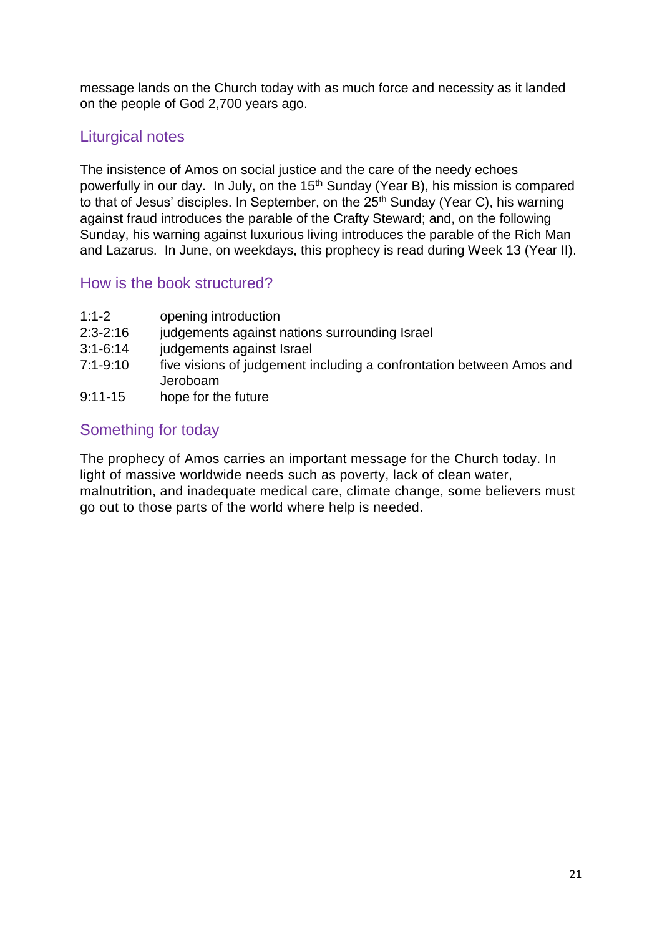message lands on the Church today with as much force and necessity as it landed on the people of God 2,700 years ago.

# Liturgical notes

The insistence of Amos on social justice and the care of the needy echoes powerfully in our day. In July, on the 15<sup>th</sup> Sunday (Year B), his mission is compared to that of Jesus' disciples. In September, on the 25<sup>th</sup> Sunday (Year C), his warning against fraud introduces the parable of the Crafty Steward; and, on the following Sunday, his warning against luxurious living introduces the parable of the Rich Man and Lazarus. In June, on weekdays, this prophecy is read during Week 13 (Year II).

### How is the book structured?

- 1:1-2 opening introduction
- 2:3-2:16 judgements against nations surrounding Israel
- 3:1-6:14 judgements against Israel
- 7:1-9:10 five visions of judgement including a confrontation between Amos and Jeroboam
- 9:11-15 hope for the future

### Something for today

The prophecy of Amos carries an important message for the Church today. In light of massive worldwide needs such as poverty, lack of clean water, malnutrition, and inadequate medical care, climate change, some believers must go out to those parts of the world where help is needed.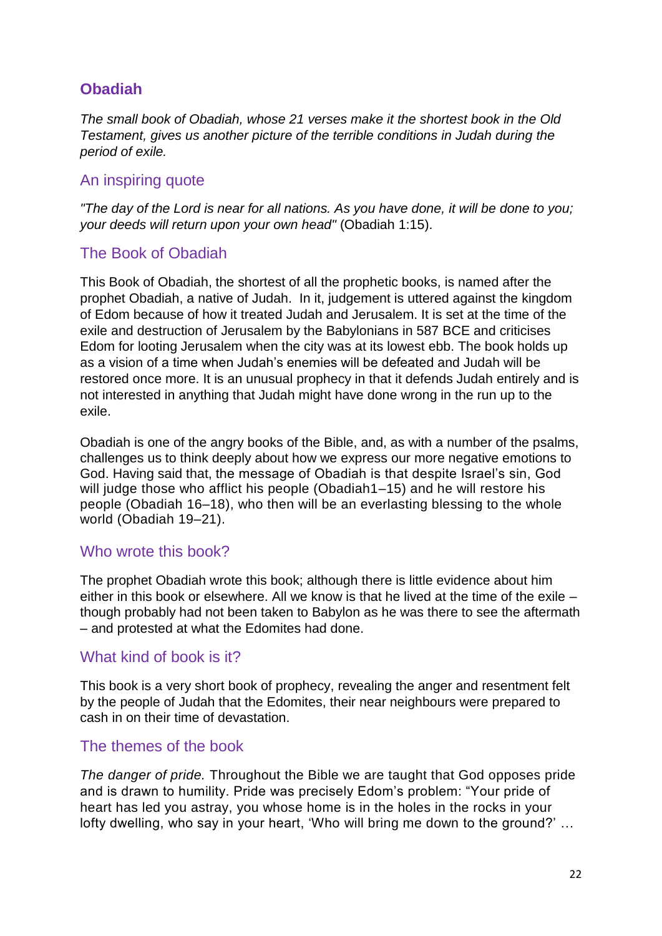### **Obadiah**

*The small book of Obadiah, whose 21 verses make it the shortest book in the Old Testament, gives us another picture of the terrible conditions in Judah during the period of exile.*

#### An inspiring quote

*"The day of the Lord is near for all nations. As you have done, it will be done to you; your deeds will return upon your own head"* (Obadiah 1:15).

### The Book of Obadiah

This Book of Obadiah, the shortest of all the prophetic books, is named after the prophet Obadiah, a native of Judah. In it, judgement is uttered against the kingdom of Edom because of how it treated Judah and Jerusalem. It is set at the time of the exile and destruction of Jerusalem by the Babylonians in 587 BCE and criticises Edom for looting Jerusalem when the city was at its lowest ebb. The book holds up as a vision of a time when Judah's enemies will be defeated and Judah will be restored once more. It is an unusual prophecy in that it defends Judah entirely and is not interested in anything that Judah might have done wrong in the run up to the exile.

Obadiah is one of the angry books of the Bible, and, as with a number of the psalms, challenges us to think deeply about how we express our more negative emotions to God. Having said that, the message of Obadiah is that despite Israel's sin, God will judge those who afflict his people (Obadiah1–15) and he will restore his people (Obadiah 16–18), who then will be an everlasting blessing to the whole world (Obadiah 19–21).

#### Who wrote this book?

The prophet Obadiah wrote this book; although there is little evidence about him either in this book or elsewhere. All we know is that he lived at the time of the exile – though probably had not been taken to Babylon as he was there to see the aftermath – and protested at what the Edomites had done.

#### What kind of book is it?

This book is a very short book of prophecy, revealing the anger and resentment felt by the people of Judah that the Edomites, their near neighbours were prepared to cash in on their time of devastation.

#### The themes of the book

*The danger of pride.* Throughout the Bible we are taught that God opposes pride and is drawn to humility. Pride was precisely Edom's problem: "Your pride of heart has led you astray, you whose home is in the holes in the rocks in your lofty dwelling, who say in your heart, 'Who will bring me down to the ground?' …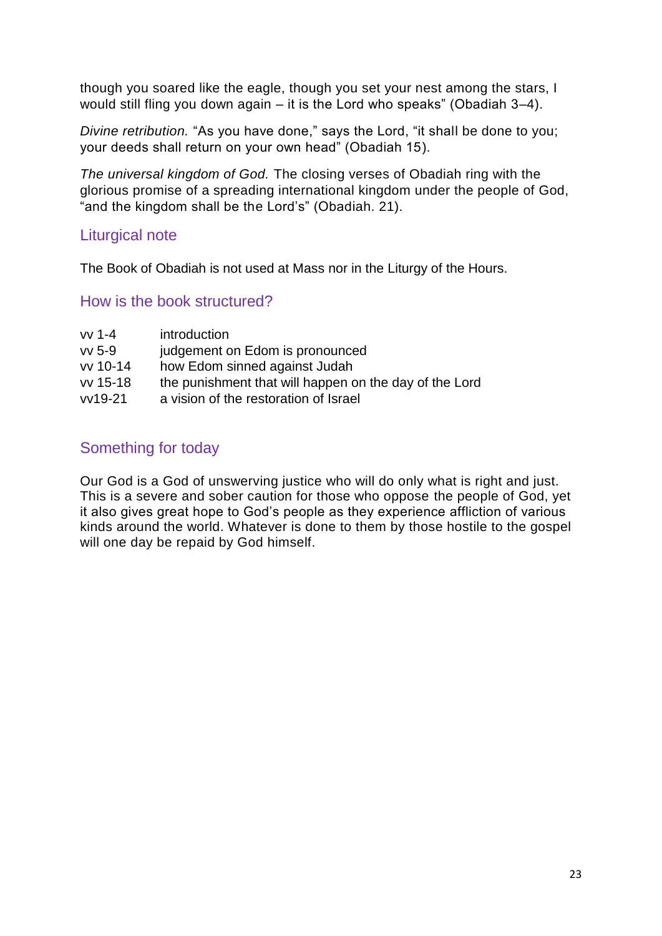though you soared like the eagle, though you set your nest among the stars, I would still fling you down again – it is the Lord who speaks" (Obadiah 3–4).

*Divine retribution.* "As you have done," says the Lord, "it shall be done to you; your deeds shall return on your own head" (Obadiah 15).

*The universal kingdom of God.* The closing verses of Obadiah ring with the glorious promise of a spreading international kingdom under the people of God, "and the kingdom shall be the Lord's" (Obadiah. 21).

#### Liturgical note

The Book of Obadiah is not used at Mass nor in the Liturgy of the Hours.

#### How is the book structured?

| vv 1-4        | introduction                                           |
|---------------|--------------------------------------------------------|
| $vv$ 5-9      | judgement on Edom is pronounced                        |
| $vv$ 10-14    | how Edom sinned against Judah                          |
| vv 15-18      | the punishment that will happen on the day of the Lord |
| $v$ $v$ 19-21 | a vision of the restoration of Israel                  |

### Something for today

Our God is a God of unswerving justice who will do only what is right and just. This is a severe and sober caution for those who oppose the people of God, yet it also gives great hope to God's people as they experience affliction of various kinds around the world. Whatever is done to them by those hostile to the gospel will one day be repaid by God himself.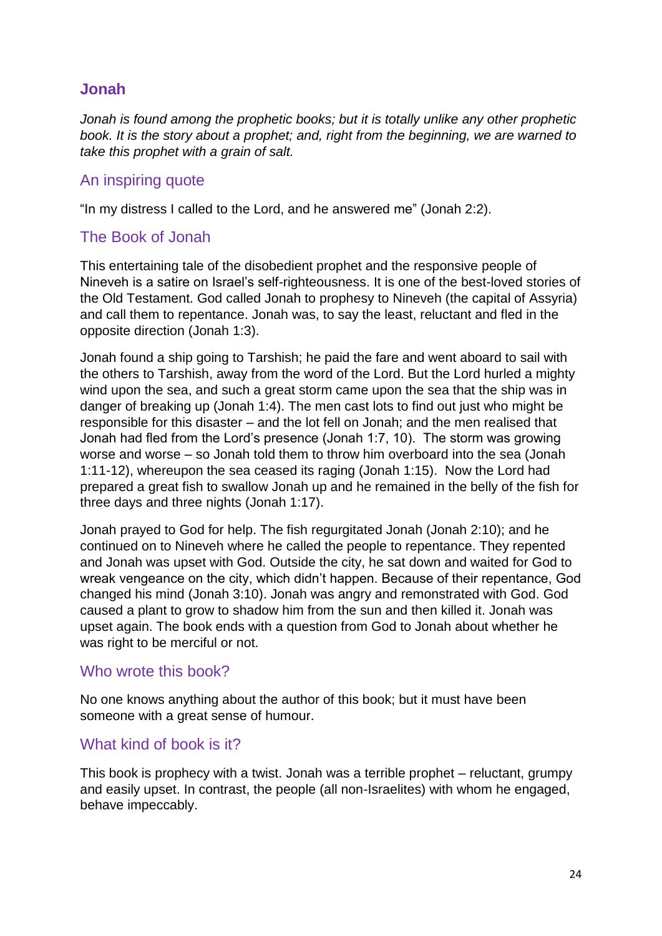### **Jonah**

*Jonah is found among the prophetic books; but it is totally unlike any other prophetic book. It is the story about a prophet; and, right from the beginning, we are warned to take this prophet with a grain of salt.*

#### An inspiring quote

"In my distress I called to the Lord, and he answered me" (Jonah 2:2).

#### The Book of Jonah

This entertaining tale of the disobedient prophet and the responsive people of Nineveh is a satire on Israel's self-righteousness. It is one of the best-loved stories of the Old Testament. God called Jonah to prophesy to Nineveh (the capital of Assyria) and call them to repentance. Jonah was, to say the least, reluctant and fled in the opposite direction (Jonah 1:3).

Jonah found a ship going to Tarshish; he paid the fare and went aboard to sail with the others to Tarshish, away from the word of the Lord. But the Lord hurled a mighty wind upon the sea, and such a great storm came upon the sea that the ship was in danger of breaking up (Jonah 1:4). The men cast lots to find out just who might be responsible for this disaster – and the lot fell on Jonah; and the men realised that Jonah had fled from the Lord's presence (Jonah 1:7, 10). The storm was growing worse and worse – so Jonah told them to throw him overboard into the sea (Jonah 1:11-12), whereupon the sea ceased its raging (Jonah 1:15). Now the Lord had prepared a great fish to swallow Jonah up and he remained in the belly of the fish for three days and three nights (Jonah 1:17).

Jonah prayed to God for help. The fish regurgitated Jonah (Jonah 2:10); and he continued on to Nineveh where he called the people to repentance. They repented and Jonah was upset with God. Outside the city, he sat down and waited for God to wreak vengeance on the city, which didn't happen. Because of their repentance, God changed his mind (Jonah 3:10). Jonah was angry and remonstrated with God. God caused a plant to grow to shadow him from the sun and then killed it. Jonah was upset again. The book ends with a question from God to Jonah about whether he was right to be merciful or not.

#### Who wrote this book?

No one knows anything about the author of this book; but it must have been someone with a great sense of humour.

#### What kind of book is it?

This book is prophecy with a twist. Jonah was a terrible prophet – reluctant, grumpy and easily upset. In contrast, the people (all non-Israelites) with whom he engaged, behave impeccably.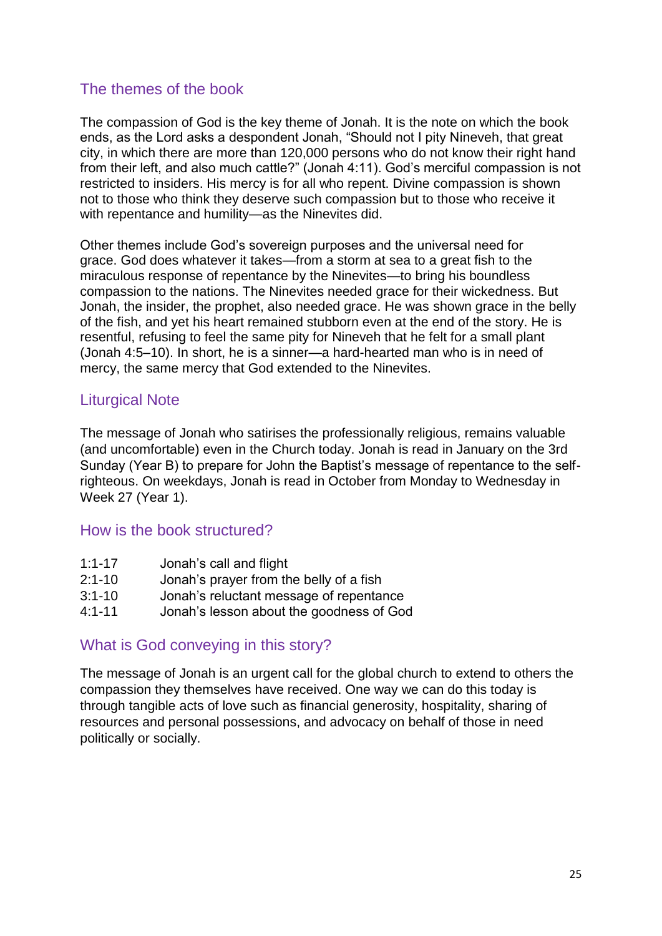### The themes of the book

The compassion of God is the key theme of Jonah. It is the note on which the book ends, as the Lord asks a despondent Jonah, "Should not I pity Nineveh, that great city, in which there are more than 120,000 persons who do not know their right hand from their left, and also much cattle?" (Jonah 4:11). God's merciful compassion is not restricted to insiders. His mercy is for all who repent. Divine compassion is shown not to those who think they deserve such compassion but to those who receive it with repentance and humility—as the Ninevites did.

Other themes include God's sovereign purposes and the universal need for grace. God does whatever it takes—from a storm at sea to a great fish to the miraculous response of repentance by the Ninevites—to bring his boundless compassion to the nations. The Ninevites needed grace for their wickedness. But Jonah, the insider, the prophet, also needed grace. He was shown grace in the belly of the fish, and yet his heart remained stubborn even at the end of the story. He is resentful, refusing to feel the same pity for Nineveh that he felt for a small plant (Jonah 4:5–10). In short, he is a sinner—a hard-hearted man who is in need of mercy, the same mercy that God extended to the Ninevites.

#### Liturgical Note

The message of Jonah who satirises the professionally religious, remains valuable (and uncomfortable) even in the Church today. Jonah is read in January on the 3rd Sunday (Year B) to prepare for John the Baptist's message of repentance to the selfrighteous. On weekdays, Jonah is read in October from Monday to Wednesday in Week 27 (Year 1).

#### How is the book structured?

| $1:1 - 17$ | Jonah's call and flight |  |
|------------|-------------------------|--|
|            |                         |  |

- 2:1-10 Jonah's prayer from the belly of a fish
- 3:1-10 Jonah's reluctant message of repentance
- 4:1-11 Jonah's lesson about the goodness of God

#### What is God conveying in this story?

The message of Jonah is an urgent call for the global church to extend to others the compassion they themselves have received. One way we can do this today is through tangible acts of love such as financial generosity, hospitality, sharing of resources and personal possessions, and advocacy on behalf of those in need politically or socially.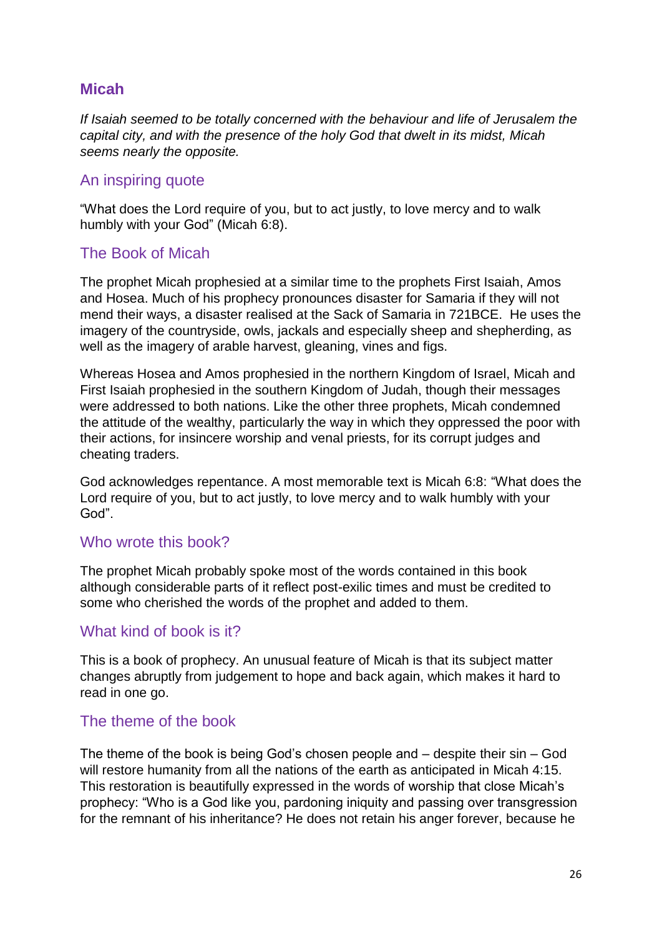### **Micah**

*If Isaiah seemed to be totally concerned with the behaviour and life of Jerusalem the capital city, and with the presence of the holy God that dwelt in its midst, Micah seems nearly the opposite.*

#### An inspiring quote

"What does the Lord require of you, but to act justly, to love mercy and to walk humbly with your God" (Micah 6:8).

#### The Book of Micah

The prophet Micah prophesied at a similar time to the prophets First Isaiah, Amos and Hosea. Much of his prophecy pronounces disaster for Samaria if they will not mend their ways, a disaster realised at the Sack of Samaria in 721BCE. He uses the imagery of the countryside, owls, jackals and especially sheep and shepherding, as well as the imagery of arable harvest, gleaning, vines and figs.

Whereas Hosea and Amos prophesied in the northern Kingdom of Israel, Micah and First Isaiah prophesied in the southern Kingdom of Judah, though their messages were addressed to both nations. Like the other three prophets, Micah condemned the attitude of the wealthy, particularly the way in which they oppressed the poor with their actions, for insincere worship and venal priests, for its corrupt judges and cheating traders.

God acknowledges repentance. A most memorable text is Micah 6:8: "What does the Lord require of you, but to act justly, to love mercy and to walk humbly with your God".

#### Who wrote this book?

The prophet Micah probably spoke most of the words contained in this book although considerable parts of it reflect post-exilic times and must be credited to some who cherished the words of the prophet and added to them.

#### What kind of book is it?

This is a book of prophecy. An unusual feature of Micah is that its subject matter changes abruptly from judgement to hope and back again, which makes it hard to read in one go.

#### The theme of the book

The theme of the book is being God's chosen people and – despite their sin – God will restore humanity from all the nations of the earth as anticipated in Micah 4:15. This restoration is beautifully expressed in the words of worship that close Micah's prophecy: "Who is a God like you, pardoning iniquity and passing over transgression for the remnant of his inheritance? He does not retain his anger forever, because he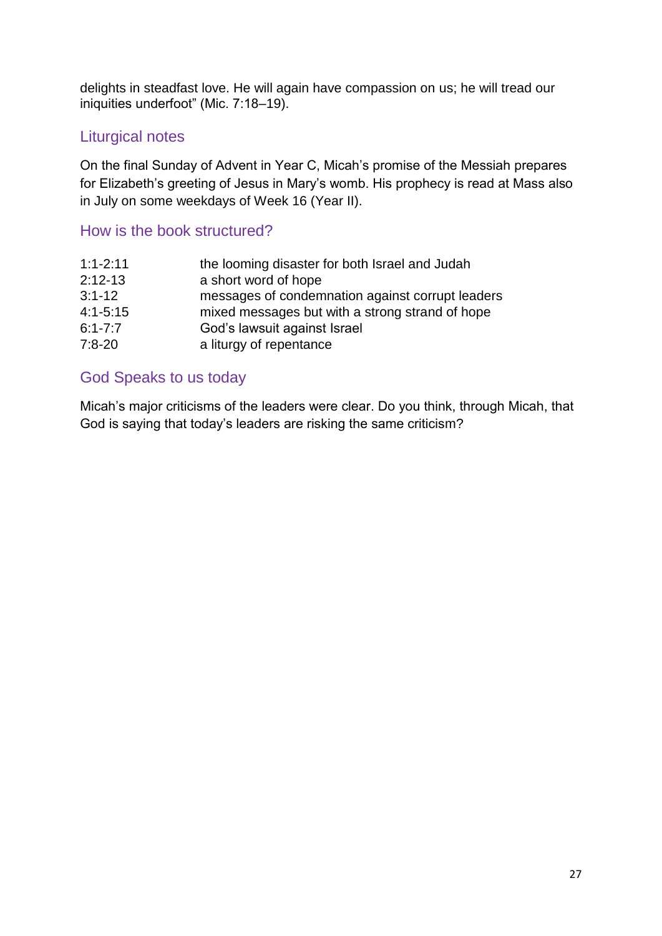delights in steadfast love. He will again have compassion on us; he will tread our iniquities underfoot" (Mic. 7:18–19).

### Liturgical notes

On the final Sunday of Advent in Year C, Micah's promise of the Messiah prepares for Elizabeth's greeting of Jesus in Mary's womb. His prophecy is read at Mass also in July on some weekdays of Week 16 (Year II).

### How is the book structured?

| $1:1 - 2:11$ | the looming disaster for both Israel and Judah   |
|--------------|--------------------------------------------------|
| $2:12-13$    | a short word of hope                             |
| $3:1 - 12$   | messages of condemnation against corrupt leaders |
| $4:1 - 5:15$ | mixed messages but with a strong strand of hope  |
| $6:1 - 7:7$  | God's lawsuit against Israel                     |
| $7:8-20$     | a liturgy of repentance                          |

### God Speaks to us today

Micah's major criticisms of the leaders were clear. Do you think, through Micah, that God is saying that today's leaders are risking the same criticism?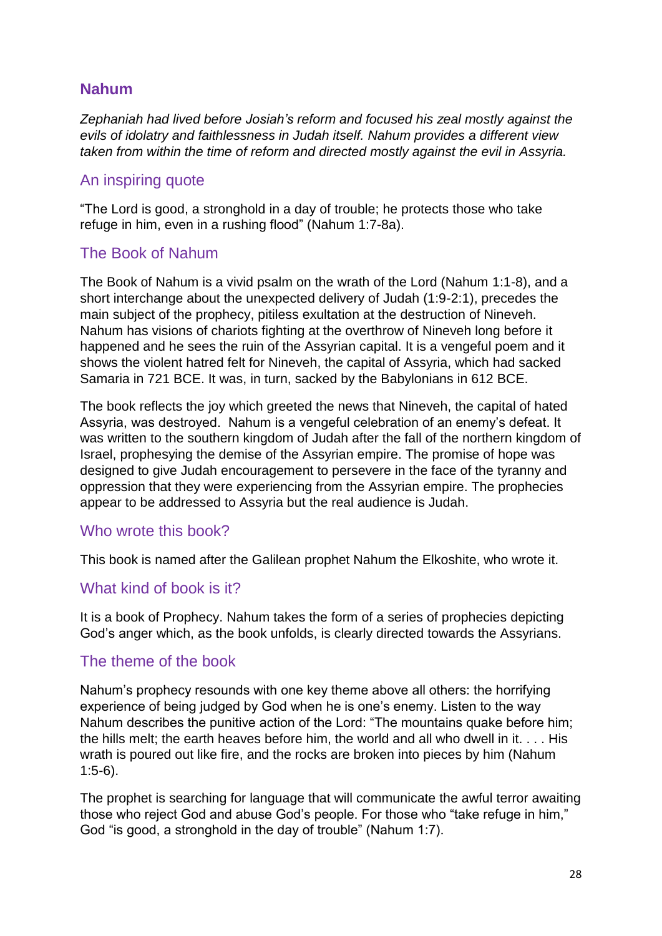### **Nahum**

*Zephaniah had lived before Josiah's reform and focused his zeal mostly against the evils of idolatry and faithlessness in Judah itself. Nahum provides a different view taken from within the time of reform and directed mostly against the evil in Assyria.*

#### An inspiring quote

"The Lord is good, a stronghold in a day of trouble; he protects those who take refuge in him, even in a rushing flood" (Nahum 1:7-8a).

#### The Book of Nahum

The Book of Nahum is a vivid psalm on the wrath of the Lord (Nahum 1:1-8), and a short interchange about the unexpected delivery of Judah (1:9-2:1), precedes the main subject of the prophecy, pitiless exultation at the destruction of Nineveh. Nahum has visions of chariots fighting at the overthrow of Nineveh long before it happened and he sees the ruin of the Assyrian capital. It is a vengeful poem and it shows the violent hatred felt for Nineveh, the capital of Assyria, which had sacked Samaria in 721 BCE. It was, in turn, sacked by the Babylonians in 612 BCE.

The book reflects the joy which greeted the news that Nineveh, the capital of hated Assyria, was destroyed. Nahum is a vengeful celebration of an enemy's defeat. It was written to the southern kingdom of Judah after the fall of the northern kingdom of Israel, prophesying the demise of the Assyrian empire. The promise of hope was designed to give Judah encouragement to persevere in the face of the tyranny and oppression that they were experiencing from the Assyrian empire. The prophecies appear to be addressed to Assyria but the real audience is Judah.

#### Who wrote this book?

This book is named after the Galilean prophet Nahum the Elkoshite, who wrote it.

#### What kind of book is it?

It is a book of Prophecy. Nahum takes the form of a series of prophecies depicting God's anger which, as the book unfolds, is clearly directed towards the Assyrians.

#### The theme of the book

Nahum's prophecy resounds with one key theme above all others: the horrifying experience of being judged by God when he is one's enemy. Listen to the way Nahum describes the punitive action of the Lord: "The mountains quake before him; the hills melt; the earth heaves before him, the world and all who dwell in it. . . . His wrath is poured out like fire, and the rocks are broken into pieces by him (Nahum 1:5-6).

The prophet is searching for language that will communicate the awful terror awaiting those who reject God and abuse God's people. For those who "take refuge in him," God "is good, a stronghold in the day of trouble" (Nahum 1:7).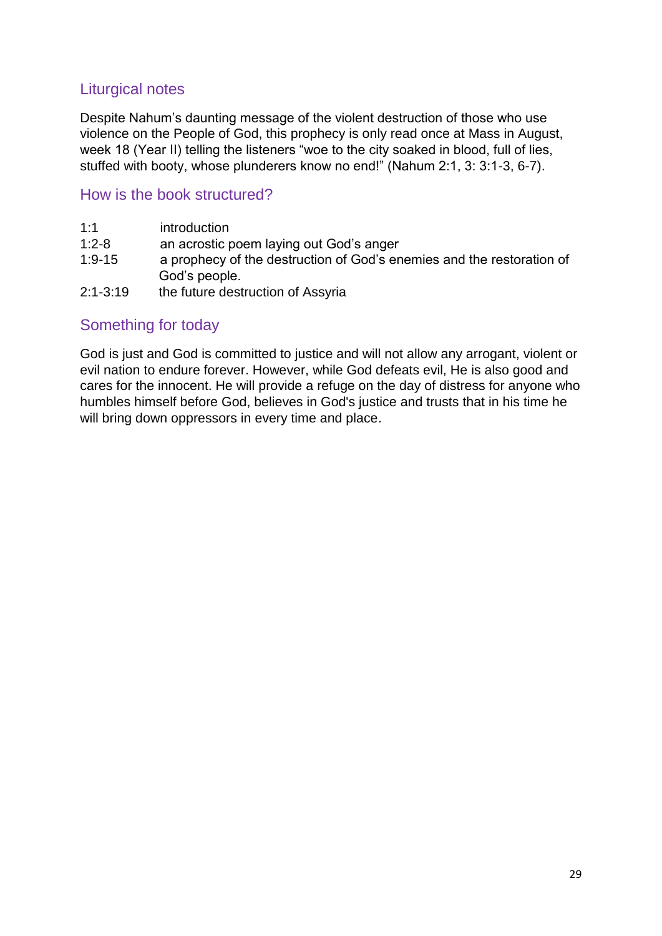### Liturgical notes

Despite Nahum's daunting message of the violent destruction of those who use violence on the People of God, this prophecy is only read once at Mass in August, week 18 (Year II) telling the listeners "woe to the city soaked in blood, full of lies, stuffed with booty, whose plunderers know no end!" (Nahum 2:1, 3: 3:1-3, 6-7).

#### How is the book structured?

| 1:1        | introduction                                                                           |
|------------|----------------------------------------------------------------------------------------|
| $1:2 - 8$  | an acrostic poem laying out God's anger                                                |
| $1:9 - 15$ | a prophecy of the destruction of God's enemies and the restoration of<br>God's people. |

2:1-3:19 the future destruction of Assyria

### Something for today

God is just and God is committed to justice and will not allow any arrogant, violent or evil nation to endure forever. However, while God defeats evil, He is also good and cares for the innocent. He will provide a refuge on the day of distress for anyone who humbles himself before God, believes in God's justice and trusts that in his time he will bring down oppressors in every time and place.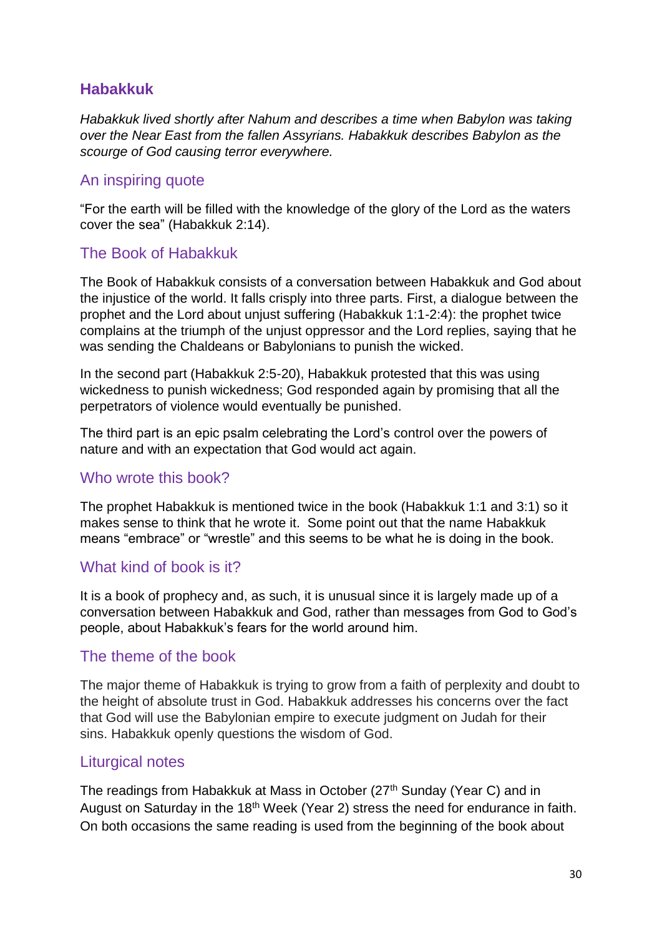### **Habakkuk**

*Habakkuk lived shortly after Nahum and describes a time when Babylon was taking over the Near East from the fallen Assyrians. Habakkuk describes Babylon as the scourge of God causing terror everywhere.*

#### An inspiring quote

"For the earth will be filled with the knowledge of the glory of the Lord as the waters cover the sea" (Habakkuk 2:14).

#### The Book of Habakkuk

The Book of Habakkuk consists of a conversation between Habakkuk and God about the injustice of the world. It falls crisply into three parts. First, a dialogue between the prophet and the Lord about unjust suffering (Habakkuk 1:1-2:4): the prophet twice complains at the triumph of the unjust oppressor and the Lord replies, saying that he was sending the Chaldeans or Babylonians to punish the wicked.

In the second part (Habakkuk 2:5-20), Habakkuk protested that this was using wickedness to punish wickedness; God responded again by promising that all the perpetrators of violence would eventually be punished.

The third part is an epic psalm celebrating the Lord's control over the powers of nature and with an expectation that God would act again.

#### Who wrote this book?

The prophet Habakkuk is mentioned twice in the book (Habakkuk 1:1 and 3:1) so it makes sense to think that he wrote it. Some point out that the name Habakkuk means "embrace" or "wrestle" and this seems to be what he is doing in the book.

#### What kind of book is it?

It is a book of prophecy and, as such, it is unusual since it is largely made up of a conversation between Habakkuk and God, rather than messages from God to God's people, about Habakkuk's fears for the world around him.

#### The theme of the book

The major theme of Habakkuk is trying to grow from a faith of perplexity and doubt to the height of absolute trust in God. Habakkuk addresses his concerns over the fact that God will use the Babylonian empire to execute judgment on Judah for their sins. Habakkuk openly questions the wisdom of God.

#### Liturgical notes

The readings from Habakkuk at Mass in October (27<sup>th</sup> Sunday (Year C) and in August on Saturday in the 18<sup>th</sup> Week (Year 2) stress the need for endurance in faith. On both occasions the same reading is used from the beginning of the book about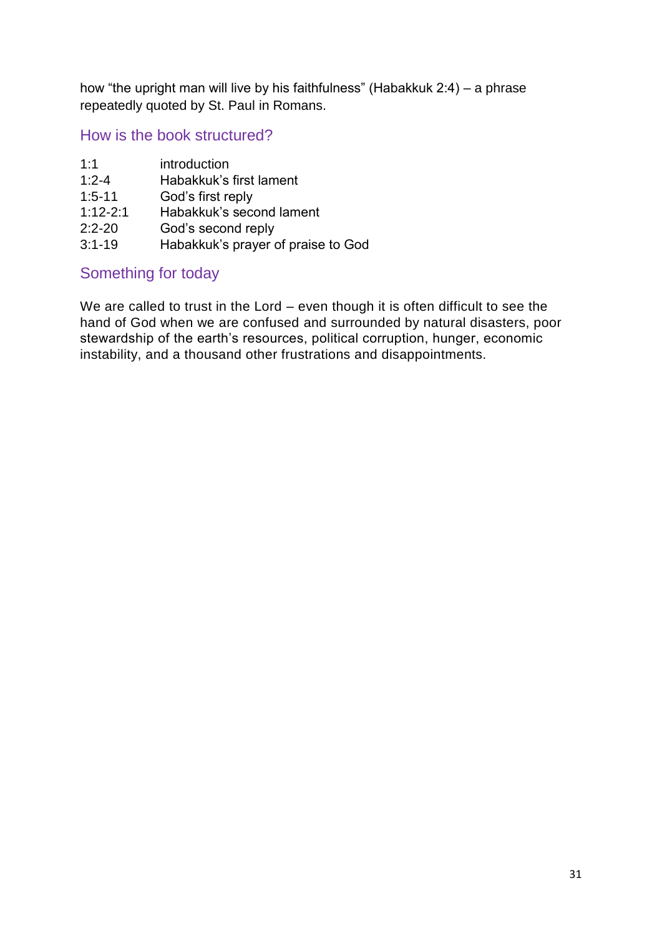how "the upright man will live by his faithfulness" (Habakkuk 2:4) – a phrase repeatedly quoted by St. Paul in Romans.

How is the book structured?

| 1:1          | introduction             |
|--------------|--------------------------|
| $1:2 - 4$    | Habakkuk's first lament  |
| $1:5 - 11$   | God's first reply        |
| $1:12 - 2:1$ | Habakkuk's second lament |
| $2:2 - 20$   | God's second reply       |
|              |                          |

3:1-19 Habakkuk's prayer of praise to God

### Something for today

We are called to trust in the Lord – even though it is often difficult to see the hand of God when we are confused and surrounded by natural disasters, poor stewardship of the earth's resources, political corruption, hunger, economic instability, and a thousand other frustrations and disappointments.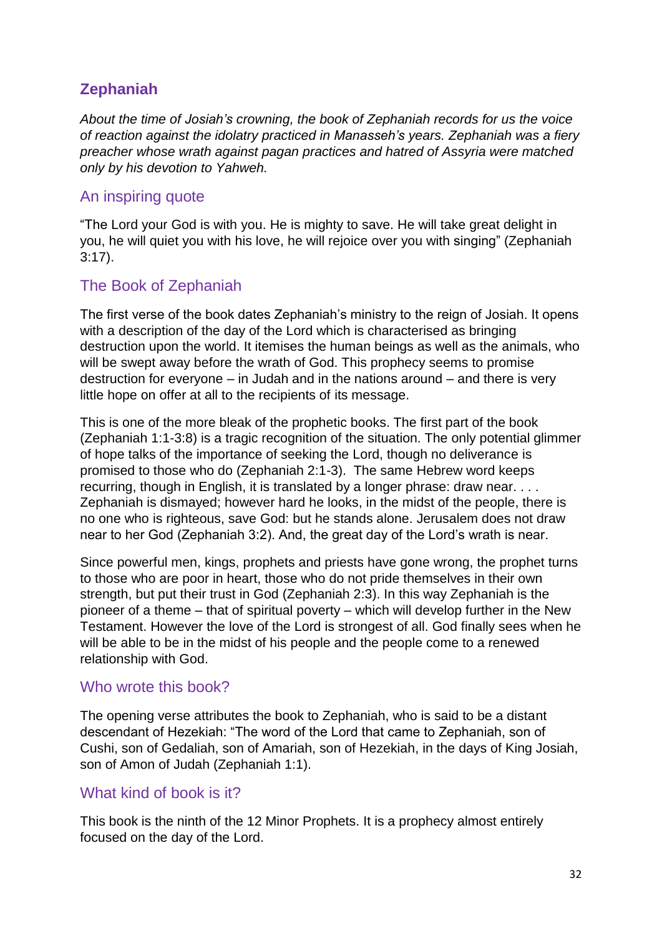# **Zephaniah**

*About the time of Josiah's crowning, the book of Zephaniah records for us the voice of reaction against the idolatry practiced in Manasseh's years. Zephaniah was a fiery preacher whose wrath against pagan practices and hatred of Assyria were matched only by his devotion to Yahweh.*

### An inspiring quote

"The Lord your God is with you. He is mighty to save. He will take great delight in you, he will quiet you with his love, he will rejoice over you with singing" (Zephaniah 3:17).

### The Book of Zephaniah

The first verse of the book dates Zephaniah's ministry to the reign of Josiah. It opens with a description of the day of the Lord which is characterised as bringing destruction upon the world. It itemises the human beings as well as the animals, who will be swept away before the wrath of God. This prophecy seems to promise destruction for everyone – in Judah and in the nations around – and there is very little hope on offer at all to the recipients of its message.

This is one of the more bleak of the prophetic books. The first part of the book (Zephaniah 1:1-3:8) is a tragic recognition of the situation. The only potential glimmer of hope talks of the importance of seeking the Lord, though no deliverance is promised to those who do (Zephaniah 2:1-3). The same Hebrew word keeps recurring, though in English, it is translated by a longer phrase: draw near. . . . Zephaniah is dismayed; however hard he looks, in the midst of the people, there is no one who is righteous, save God: but he stands alone. Jerusalem does not draw near to her God (Zephaniah 3:2). And, the great day of the Lord's wrath is near.

Since powerful men, kings, prophets and priests have gone wrong, the prophet turns to those who are poor in heart, those who do not pride themselves in their own strength, but put their trust in God (Zephaniah 2:3). In this way Zephaniah is the pioneer of a theme – that of spiritual poverty – which will develop further in the New Testament. However the love of the Lord is strongest of all. God finally sees when he will be able to be in the midst of his people and the people come to a renewed relationship with God.

#### Who wrote this book?

The opening verse attributes the book to Zephaniah, who is said to be a distant descendant of Hezekiah: "The word of the Lord that came to Zephaniah, son of Cushi, son of Gedaliah, son of Amariah, son of Hezekiah, in the days of King Josiah, son of Amon of Judah (Zephaniah 1:1).

#### What kind of book is it?

This book is the ninth of the 12 Minor Prophets. It is a prophecy almost entirely focused on the day of the Lord.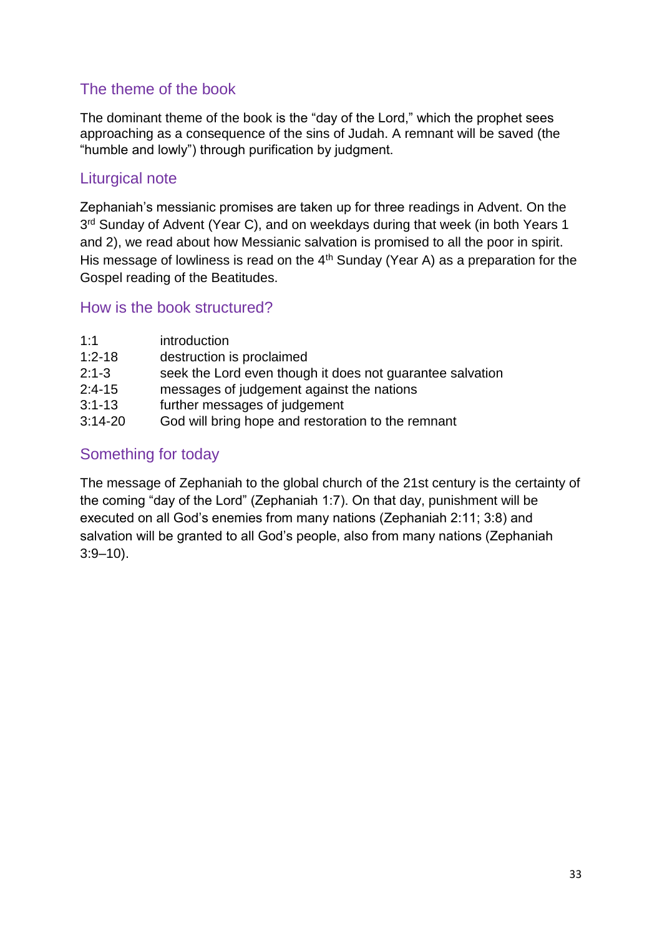# The theme of the book

The dominant theme of the book is the "day of the Lord," which the prophet sees approaching as a consequence of the sins of Judah. A remnant will be saved (the "humble and lowly") through purification by judgment.

### Liturgical note

Zephaniah's messianic promises are taken up for three readings in Advent. On the 3<sup>rd</sup> Sunday of Advent (Year C), and on weekdays during that week (in both Years 1 and 2), we read about how Messianic salvation is promised to all the poor in spirit. His message of lowliness is read on the  $4<sup>th</sup>$  Sunday (Year A) as a preparation for the Gospel reading of the Beatitudes.

### How is the book structured?

| 1:1        | introduction                                              |
|------------|-----------------------------------------------------------|
| $1:2 - 18$ | destruction is proclaimed                                 |
| $2:1 - 3$  | seek the Lord even though it does not guarantee salvation |
| $2:4-15$   | messages of judgement against the nations                 |
| $3:1 - 13$ | further messages of judgement                             |
| $3:14-20$  | God will bring hope and restoration to the remnant        |

# Something for today

The message of Zephaniah to the global church of the 21st century is the certainty of the coming "day of the Lord" (Zephaniah 1:7). On that day, punishment will be executed on all God's enemies from many nations (Zephaniah 2:11; 3:8) and salvation will be granted to all God's people, also from many nations (Zephaniah 3:9–10).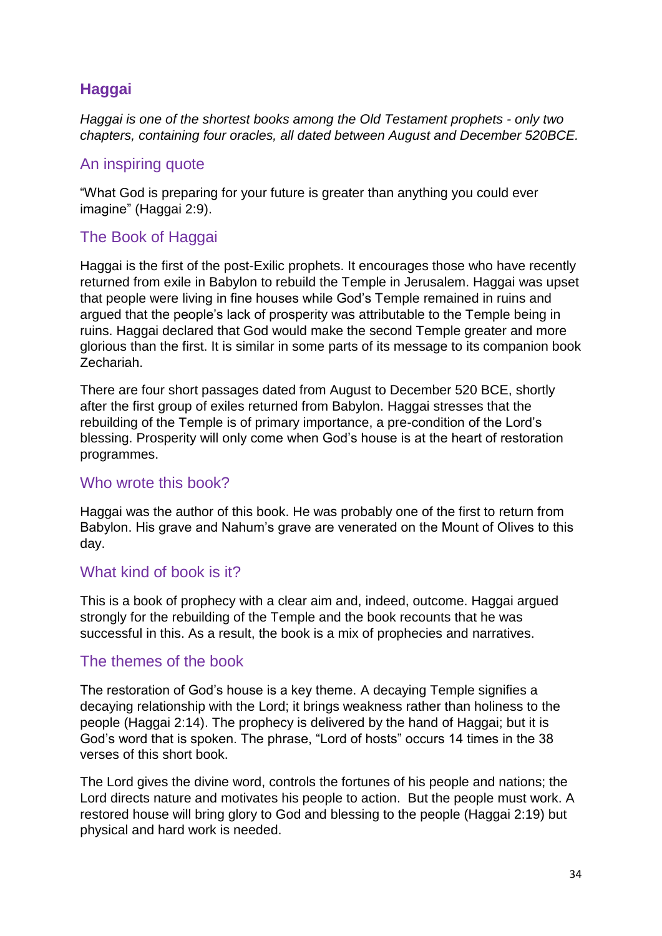# **Haggai**

*Haggai is one of the shortest books among the Old Testament prophets - only two chapters, containing four oracles, all dated between August and December 520BCE.*

#### An inspiring quote

"What God is preparing for your future is greater than anything you could ever imagine" (Haggai 2:9).

### The Book of Haggai

Haggai is the first of the post-Exilic prophets. It encourages those who have recently returned from exile in Babylon to rebuild the Temple in Jerusalem. Haggai was upset that people were living in fine houses while God's Temple remained in ruins and argued that the people's lack of prosperity was attributable to the Temple being in ruins. Haggai declared that God would make the second Temple greater and more glorious than the first. It is similar in some parts of its message to its companion book Zechariah.

There are four short passages dated from August to December 520 BCE, shortly after the first group of exiles returned from Babylon. Haggai stresses that the rebuilding of the Temple is of primary importance, a pre-condition of the Lord's blessing. Prosperity will only come when God's house is at the heart of restoration programmes.

#### Who wrote this book?

Haggai was the author of this book. He was probably one of the first to return from Babylon. His grave and Nahum's grave are venerated on the Mount of Olives to this day.

#### What kind of book is it?

This is a book of prophecy with a clear aim and, indeed, outcome. Haggai argued strongly for the rebuilding of the Temple and the book recounts that he was successful in this. As a result, the book is a mix of prophecies and narratives.

#### The themes of the book

The restoration of God's house is a key theme. A decaying Temple signifies a decaying relationship with the Lord; it brings weakness rather than holiness to the people (Haggai 2:14). The prophecy is delivered by the hand of Haggai; but it is God's word that is spoken. The phrase, "Lord of hosts" occurs 14 times in the 38 verses of this short book.

The Lord gives the divine word, controls the fortunes of his people and nations; the Lord directs nature and motivates his people to action. But the people must work. A restored house will bring glory to God and blessing to the people (Haggai 2:19) but physical and hard work is needed.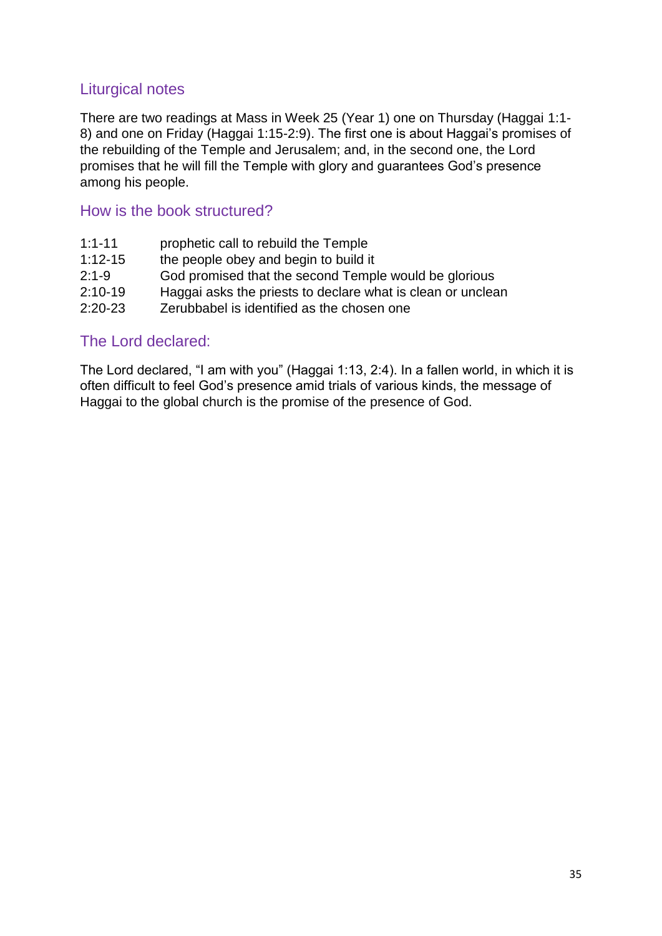### Liturgical notes

There are two readings at Mass in Week 25 (Year 1) one on Thursday (Haggai 1:1- 8) and one on Friday (Haggai 1:15-2:9). The first one is about Haggai's promises of the rebuilding of the Temple and Jerusalem; and, in the second one, the Lord promises that he will fill the Temple with glory and guarantees God's presence among his people.

#### How is the book structured?

| $1:1 - 11$ | prophetic call to rebuild the Temple                        |
|------------|-------------------------------------------------------------|
| $1:12-15$  | the people obey and begin to build it                       |
| $2:1-9$    | God promised that the second Temple would be glorious       |
| $2:10-19$  | Haggai asks the priests to declare what is clean or unclean |
| $2:20-23$  | Zerubbabel is identified as the chosen one                  |

#### The Lord declared:

The Lord declared, "I am with you" (Haggai 1:13, 2:4). In a fallen world, in which it is often difficult to feel God's presence amid trials of various kinds, the message of Haggai to the global church is the promise of the presence of God.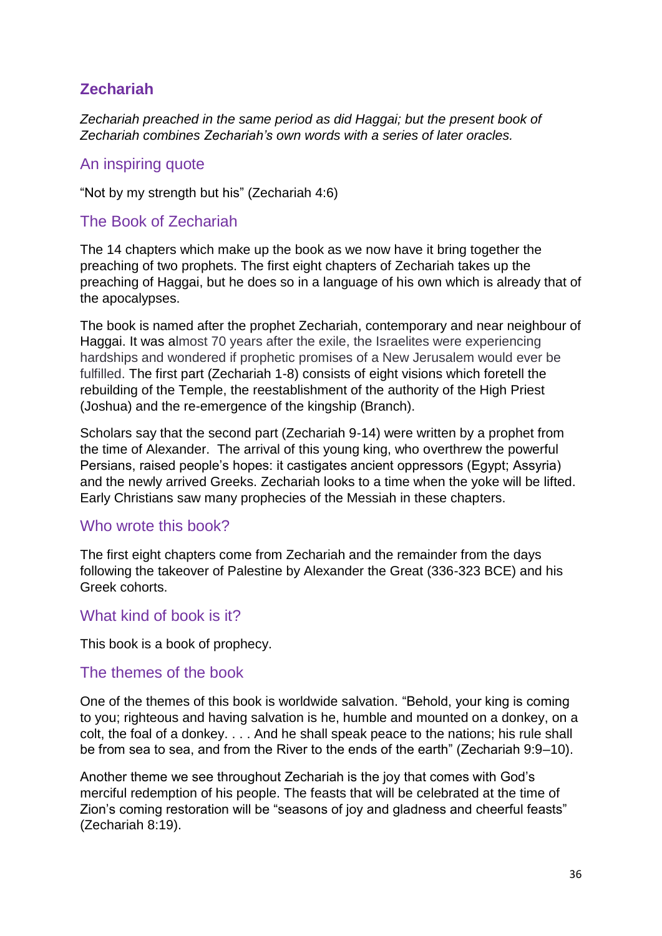# **Zechariah**

*Zechariah preached in the same period as did Haggai; but the present book of Zechariah combines Zechariah's own words with a series of later oracles.*

#### An inspiring quote

"Not by my strength but his" (Zechariah 4:6)

#### The Book of Zechariah

The 14 chapters which make up the book as we now have it bring together the preaching of two prophets. The first eight chapters of Zechariah takes up the preaching of Haggai, but he does so in a language of his own which is already that of the apocalypses.

The book is named after the prophet Zechariah, contemporary and near neighbour of Haggai. It was almost 70 years after the exile, the Israelites were experiencing hardships and wondered if prophetic promises of a New Jerusalem would ever be fulfilled. The first part (Zechariah 1-8) consists of eight visions which foretell the rebuilding of the Temple, the reestablishment of the authority of the High Priest (Joshua) and the re-emergence of the kingship (Branch).

Scholars say that the second part (Zechariah 9-14) were written by a prophet from the time of Alexander. The arrival of this young king, who overthrew the powerful Persians, raised people's hopes: it castigates ancient oppressors (Egypt; Assyria) and the newly arrived Greeks. Zechariah looks to a time when the yoke will be lifted. Early Christians saw many prophecies of the Messiah in these chapters.

#### Who wrote this book?

The first eight chapters come from Zechariah and the remainder from the days following the takeover of Palestine by Alexander the Great (336-323 BCE) and his Greek cohorts.

#### What kind of book is it?

This book is a book of prophecy.

#### The themes of the book

One of the themes of this book is worldwide salvation. "Behold, your king is coming to you; righteous and having salvation is he, humble and mounted on a donkey, on a colt, the foal of a donkey. . . . And he shall speak peace to the nations; his rule shall be from sea to sea, and from the River to the ends of the earth" (Zechariah 9:9–10).

Another theme we see throughout Zechariah is the joy that comes with God's merciful redemption of his people. The feasts that will be celebrated at the time of Zion's coming restoration will be "seasons of joy and gladness and cheerful feasts" (Zechariah 8:19).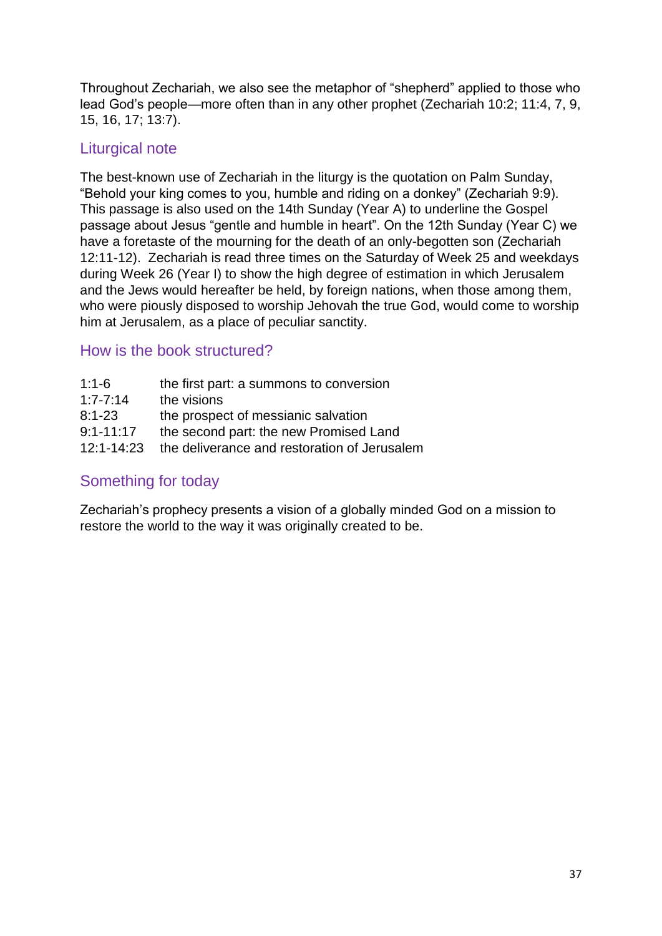Throughout Zechariah, we also see the metaphor of "shepherd" applied to those who lead God's people—more often than in any other prophet (Zechariah 10:2; 11:4, 7, 9, 15, 16, 17; 13:7).

# Liturgical note

The best-known use of Zechariah in the liturgy is the quotation on Palm Sunday, "Behold your king comes to you, humble and riding on a donkey" (Zechariah 9:9). This passage is also used on the 14th Sunday (Year A) to underline the Gospel passage about Jesus "gentle and humble in heart". On the 12th Sunday (Year C) we have a foretaste of the mourning for the death of an only-begotten son (Zechariah 12:11-12). Zechariah is read three times on the Saturday of Week 25 and weekdays during Week 26 (Year I) to show the high degree of estimation in which Jerusalem and the Jews would hereafter be held, by foreign nations, when those among them, who were piously disposed to worship Jehovah the true God, would come to worship him at Jerusalem, as a place of peculiar sanctity.

### How is the book structured?

| $1:1-6$        | the first part: a summons to conversion      |
|----------------|----------------------------------------------|
| $1:7 - 7:14$   | the visions                                  |
| $8:1 - 23$     | the prospect of messianic salvation          |
| $9:1 - 11:17$  | the second part: the new Promised Land       |
| $12:1 - 14:23$ | the deliverance and restoration of Jerusalem |

# Something for today

Zechariah's prophecy presents a vision of a globally minded God on a mission to restore the world to the way it was originally created to be.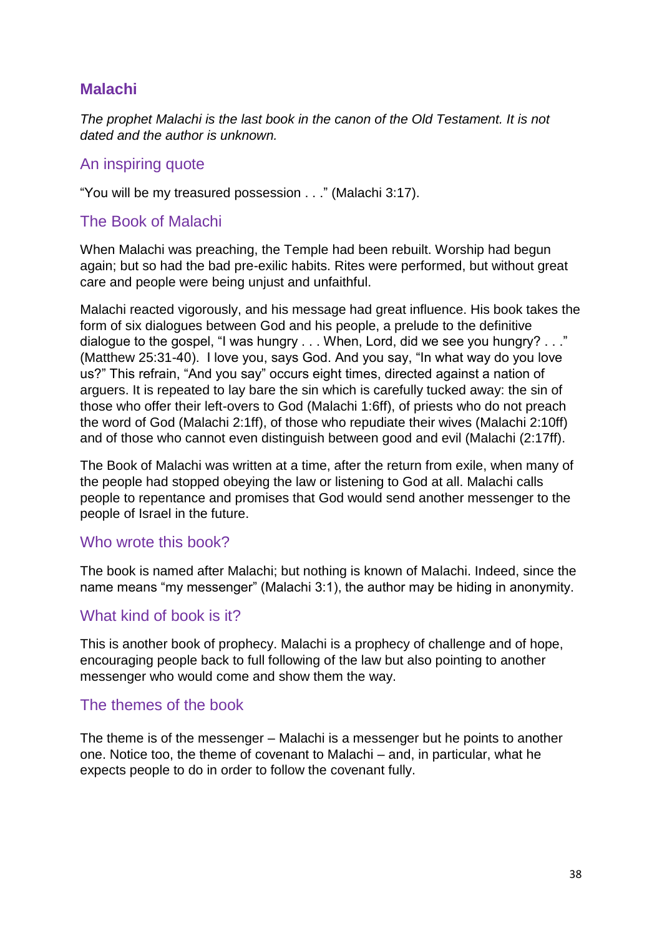## **Malachi**

*The prophet Malachi is the last book in the canon of the Old Testament. It is not dated and the author is unknown.*

#### An inspiring quote

"You will be my treasured possession . . ." (Malachi 3:17).

#### The Book of Malachi

When Malachi was preaching, the Temple had been rebuilt. Worship had begun again; but so had the bad pre-exilic habits. Rites were performed, but without great care and people were being unjust and unfaithful.

Malachi reacted vigorously, and his message had great influence. His book takes the form of six dialogues between God and his people, a prelude to the definitive dialogue to the gospel, "I was hungry . . . When, Lord, did we see you hungry? . . ." (Matthew 25:31-40). I love you, says God. And you say, "In what way do you love us?" This refrain, "And you say" occurs eight times, directed against a nation of arguers. It is repeated to lay bare the sin which is carefully tucked away: the sin of those who offer their left-overs to God (Malachi 1:6ff), of priests who do not preach the word of God (Malachi 2:1ff), of those who repudiate their wives (Malachi 2:10ff) and of those who cannot even distinguish between good and evil (Malachi (2:17ff).

The Book of Malachi was written at a time, after the return from exile, when many of the people had stopped obeying the law or listening to God at all. Malachi calls people to repentance and promises that God would send another messenger to the people of Israel in the future.

#### Who wrote this book?

The book is named after Malachi; but nothing is known of Malachi. Indeed, since the name means "my messenger" (Malachi 3:1), the author may be hiding in anonymity.

#### What kind of book is it?

This is another book of prophecy. Malachi is a prophecy of challenge and of hope, encouraging people back to full following of the law but also pointing to another messenger who would come and show them the way.

#### The themes of the book

The theme is of the messenger – Malachi is a messenger but he points to another one. Notice too, the theme of covenant to Malachi – and, in particular, what he expects people to do in order to follow the covenant fully.